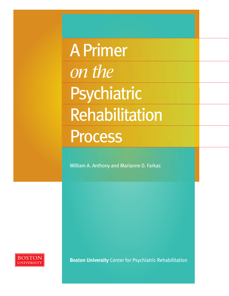APrimer *on the* Psychiatric Rehabilitation

# Process

William A. Anthony and Marianne D. Farkas



**Boston University** Center for Psychiatric Rehabilitation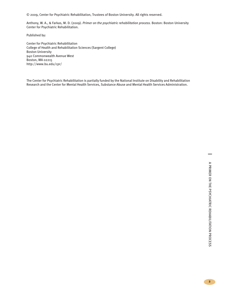© 2009, Center for Psychiatric Rehabilitation, Trustees of Boston University. All rights reserved.

Anthony, W. A., & Farkas, M. D. (2009). *Primer on the psychiatric rehabilitation process.* Boston: Boston University Center for Psychiatric Rehabilitation.

Published by:

Center for Psychiatric Rehabilitation College of Health and Rehabilitation Sciences (Sargent College) Boston University 940 Commonwealth Avenue West Boston, MA 02215 http://www.bu.edu/cpr/

The Center for Psychiatric Rehabilitation is partially funded by the National Institute on Disability and Rehabilitation Research and the Center for Mental Health Services, Substance Abuse and Mental Health Services Administration.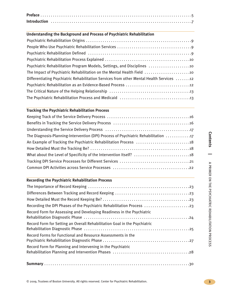#### **Understanding the Background and Process of Psychiatric Rehabilitation**

| Psychiatric Rehabilitation Program Models, Settings, and Disciplines 10                  |
|------------------------------------------------------------------------------------------|
| The Impact of Psychiatric Rehabilitation on the Mental Health Field                      |
| Differentiating Psychiatric Rehabilitation Services from other Mental Health Services 12 |
|                                                                                          |
|                                                                                          |
|                                                                                          |

#### **Tracking the Psychiatric Rehabilitation Process**

| The Diagnosis-Planning-Intervention (DPI) Process of Psychiatric Rehabilitation 17 |
|------------------------------------------------------------------------------------|
| An Example of Tracking the Psychiatric Rehabilitation Process 18                   |
|                                                                                    |
| What about the Level of Specificity of the Intervention Itself?  18                |
|                                                                                    |
|                                                                                    |

#### **Recording the Psychiatric Rehabilitation Process**

| Recording the DPI Phases of the Psychiatric Rehabilitation Process 23     |
|---------------------------------------------------------------------------|
| Record Form for Assessing and Developing Readiness in the Psychiatric     |
| Record Form for Setting an Overall Rehabilitation Goal in the Psychiatric |
| Record Forms for Functional and Resource Assessments in the               |
| Record Form for Planning and Intervening in the Psychiatric               |
|                                                                           |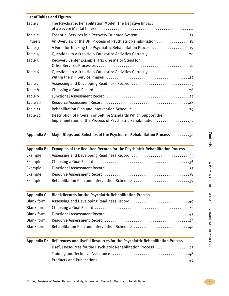#### **List of Tables and Figures**

| Table 1  | The Psychiatric Rehabilitation Model: The Negative Impact                                                                       |
|----------|---------------------------------------------------------------------------------------------------------------------------------|
| Table 2  | Essential Services in a Recovery-Oriented System 12                                                                             |
| Figure 1 | An Overview of the DPI Process of Psychiatric Rehabilitation 18                                                                 |
| Table 3  | A Form for Tracking the Psychiatric Rehabilitation Process  19                                                                  |
| Table 4  | Questions to Ask to Help Categorize Activities Correctly 20                                                                     |
| Table 5  | Recovery Center Example: Tracking Major Steps for                                                                               |
| Table 6  | Questions to Ask to Help Categorize Activities Correctly                                                                        |
| Table 7  |                                                                                                                                 |
| Table 8  |                                                                                                                                 |
| Table 9  |                                                                                                                                 |
| Table 10 |                                                                                                                                 |
| Table 11 | Rehabilitation Plan and Intervention Schedule 29                                                                                |
| Table 12 | Description of Program or Setting Standards Which Support the<br>Implementation of the Process of Psychiatric Rehabilitation 32 |

#### **Appendix A: Major Steps and Substeps of the Psychiatric Rehabilitation Process** . . . . . . . . .34

|         | Appendix B: Examples of the Required Records for the Psychiatric Rehabilitation Process |
|---------|-----------------------------------------------------------------------------------------|
| Example | Assessing and Developing Readiness Record 35                                            |
| Example |                                                                                         |
| Example |                                                                                         |
| Example |                                                                                         |
| Example | Rehabilitation Plan and Intervention Schedule 39                                        |

| Appendix C: Blank Records for the Psychiatric Rehabilitation Process |
|----------------------------------------------------------------------|
| Blank form Assessing and Developing Readiness Record 40              |
|                                                                      |
|                                                                      |
|                                                                      |
| Blank form Rehabilitation Plan and Intervention Schedule 44          |
|                                                                      |

| Appendix D: References and Useful Resources for the Psychiatric Rehabilitation Process |  |  |  |  |
|----------------------------------------------------------------------------------------|--|--|--|--|
| Useful Resources for the Psychiatric Rehabilitation Process 45                         |  |  |  |  |
|                                                                                        |  |  |  |  |
|                                                                                        |  |  |  |  |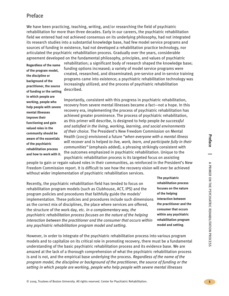We have been practicing, teaching, writing, and/or researching the field of psychiatric rehabilitation for more than three decades. Early in our careers, the psychiatric rehabilitation field we entered had not achieved consensus on its underlying philosophy, had not integrated its research studies into a substantial knowledge base, had few model service programs and sources of funding in existence, had not developed a rehabilitation practice technology, nor articulated the psychiatric rehabilitation process. Gradually over the years, considerable agreement developed on the fundamental philosophy, principles, and values of psychiatric

**Regardless of the name of the program model, the discipline or background of the practitioner, the source of funding or the setting in which people are working, people who help people with severe mental illnesses improve their functioning and gain valued roles in the community should be aware of the essentials of the psychiatric rehabilitation process and how to work with it.**

rehabilitation; a significant body of research shaped the knowledge base; funding options increased; a variety of model service programs were created, researched, and disseminated; pre-service and in-service training programs came into existence; a psychiatric rehabilitation technology was increasingly utilized; and the process of psychiatric rehabilitation described.

Importantly, consistent with this progress in psychiatric rehabilitation, recovery from severe mental illnesses became a fact—not a hope. In this recovery era, implementing the process of psychiatric rehabilitation has achieved greater prominence. The process of psychiatric rehabilitation, as this primer will describe, is designed to help people *be successful and satisfied in the living, working, learning, and social environments of their choice.* The President's New Freedom Commission on Mental Health (2003) envisioned a future "*when everyone with a mental illness will recover* and is helped *to live, work, learn, and participate fully in their communities"* (emphasis added), a phrasing strikingly consistent with the outcomes emphasized in psychiatric rehabilitation. Unique to the psychiatric rehabilitation process is its targeted focus on assisting

people to gain or regain valued roles in their communities, as reinforced in the President's New Freedom Commission report. It is difficult to see how the recovery vision will ever be achieved without wider implementation of psychiatric rehabilitation services.

Recently, the psychiatric rehabilitation field has tended to focus on rehabilitation program models (such as Clubhouse, ACT, IPS) and the program policies and procedures that faithfully guide the models' implementation. These policies and procedures include such dimensions as the correct mix of disciplines, the place where services are offered, the structure of the work day, etc. *In a complementary way, the psychiatric rehabilitation process focuses on the nature of the helping interaction between the practitioner and the consumer that occurs within* any *psychiatric rehabilitation program model and setting.*

However, in order to integrate of the psychiatric rehabilitation process into various program models and to capitalize on its critical role in promoting recovery, there must be a fundamental understanding of the basic psychiatric rehabilitation process and its evidence base. We are amazed at the lack of a thorough comprehension of what the psychiatric rehabilitation process is and is not, and the empirical base underlying the process. *Regardless of the name of the program model, the discipline or background of the practitioner, the source of funding or the setting in which people are working, people who help people with severe mental illnesses*

**The psychiatric rehabilitation process focuses on the nature of the helping interaction between the practitioner and the consumer that occurs within any psychiatric rehabilitation program model and setting.**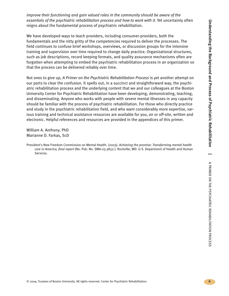**U n d ersta n din g th e Background a n d Proce s s** <u>ዓ</u> **P s ychiatric R e h a bilitatio n**

*improve their functioning and gain valued roles in the community should be aware of the essentials of the psychiatric rehabilitation process and how to work with it.* Yet uncertainty often reigns about the fundamental process of psychiatric rehabilitation.

We have developed ways to teach providers, including consumer-providers, both the fundamentals and the nitty gritty of the competencies required to deliver the processes. The field continues to confuse brief workshops, overviews, or discussion groups for the intensive training and supervision over time required to change daily practice. Organizational structures, such as job descriptions, record keeping formats, and quality assurance mechanisms often are forgotten when attempting to embed the psychiatric rehabilitation process in an organization so that the process can be delivered reliably over time.

Not ones to give up, *A Primer on the Psychiatric Rehabilitation Process* is yet another attempt on our parts to clear the confusion. It spells out, in a succinct and straightforward way, the psychiatric rehabilitation process and the underlying content that we and our colleagues at the Boston University Center for Psychiatric Rehabilitation have been developing, demonstrating, teaching, and disseminating. Anyone who works with people with severe mental illnesses in any capacity should be familiar with the process of psychiatric rehabilitation. For those who directly practice and study in the psychiatric rehabilitation field, and who want considerably more expertise, various training and technical assistance resources are available for you, on or off-site, written and electronic. Helpful references and resources are provided in the appendices of this primer.

William A. Anthony, PhD Marianne D. Farkas, ScD

President's New Freedom Commission on Mental Health. (2003). *Achieving the promise: Transforming mental health care in America, final report* (No. Pub. No. SMA-03-3832.). Rockville, MD: U.S. Department of Health and Human Services.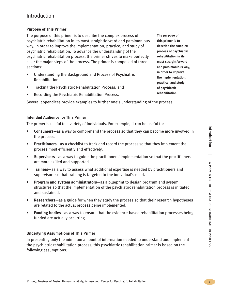#### **Purpose of This Primer**

The purpose of this primer is to describe the complex process of psychiatric rehabilitation in its most straightforward and parsimonious way, in order to improve the implementation, practice, and study of psychiatric rehabilitation. To advance the understanding of the psychiatric rehabilitation process, the primer strives to make perfectly clear the major steps of the process. The primer is composed of three sections:

- Understanding the Background and Process of Psychiatric Rehabilitation;
- Tracking the Psychiatric Rehabilitation Process; and
- Recording the Psychiatric Rehabilitation Process.

**The purpose of this primer is to describe the complex process of psychiatric rehabilitation in its most straightforward and parsimonious way, in order to improve the implementation, practice, and study of psychiatric rehabilitation.**

Several appendices provide examples to further one's understanding of the process.

#### **Intended Audience for This Primer**

The primer is useful to a variety of individuals. For example, it can be useful to:

- **Consumers**—as a way to comprehend the process so that they can become more involved in the process.
- **Practitioners**—as a checklist to track and record the process so that they implement the process most efficiently and effectively.
- **Supervisors**—as a way to guide the practitioners' implementation so that the practitioners are more skilled and supported.
- **Trainers**—as a way to assess what additional expertise is needed by practitioners and supervisors so that training is targeted to the individual's need.
- **Program and system administrators**—as a blueprint to design program and system structures so that the implementation of the psychiatric rehabilitation process is initiated and sustained.
- **Researchers**—as a guide for when they study the process so that their research hypotheses are related to the actual process being implemented.
- **Funding bodies**—as a way to ensure that the evidence-based rehabilitation processes being funded are actually occurring.

#### **Underlying Assumptions of This Primer**

In presenting only the minimum amount of information needed to understand and implement the psychiatric rehabilitation process, this psychiatric rehabilitation primer is based on the following assumptions: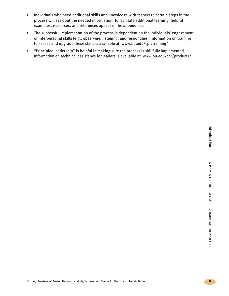- Individuals who need additional skills and knowledge with respect to certain steps in the process will seek out the needed information. To facilitate additional learning, helpful examples, resources, and references appear in the appendices.
- The successful implementation of the process is dependent on the individuals' engagement or interpersonal skills (e.g., observing, listening, and responding). Information on training to assess and upgrade these skills is available at: www.bu.edu/cpr/training/
- "Principled leadership" is helpful in making sure the process is skillfully implemented. Information on technical assistance for leaders is available at: www.bu.edu/cpr/products/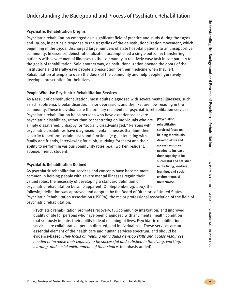### Understanding the Background and Process of Psychiatric Rehabilitation

#### **Psychiatric Rehabilitation Origins**

Psychiatric rehabilitation emerged as a significant field of practice and study during the 1970s and 1980s, in part as a response to the tragedies of the deinstitutionalization movement, which beginning in the 1950s, discharged large numbers of state hospital patients to an unsupportive community. In essence, deinstitutionalization accomplished a single outcome: transferring patients with severe mental illnesses to the community, a relatively easy task in comparison to the goals of rehabilitation. Said another way, deinstitutionalization opened the doors of the institutions and literally gave people a prescription for their medicine when they left. Rehabilitation attempts to open the doors of the community and help people figuratively develop a prescription for their lives.

#### **People Who Use Psychiatric Rehabilitation Services**

As a result of deinstitutionalization, most adults diagnosed with severe mental illnesses, such as schizophrenia, bipolar disorder, major depression, and the like, are now residing in the community. These individuals are the primary recipients of psychiatric rehabilitation services.

Psychiatric rehabilitation helps persons who have experienced severe psychiatric disabilities, rather than concentrating on individuals who are simply dissatisfied, unhappy, or "socially disadvantaged." Persons with psychiatric disabilities have diagnosed mental illnesses that limit their capacity to perform certain tasks and functions (e.g., interacting with family and friends, interviewing for a job, studying for tests) and their ability to perform in various community roles (e.g., worker, resident, spouse, friend, student).

#### **Psychiatric Rehabilitation Defined**

As psychiatric rehabilitation services and concepts have become more common in helping people with severe mental illnesses regain their valued roles, the necessity of developing a standard definition of psychiatric rehabilitation became apparent. On September 29, 2007, the following definition was approved and adopted by the Board of Directors of United States

Psychiatric Rehabilitation Association (USPRA), the major professional association of the field of psychiatric rehabilitation.

Psychiatric rehabilitation promotes recovery, full community integration, and improved quality of life for persons who have been diagnosed with any mental health condition that seriously impairs their ability to lead meaningful lives. Psychiatric rehabilitation services are collaborative, person directed, and individualized. These services are an essential element of the health care and human services spectrum, and should be evidence-based. *They focus on helping individuals develop skills and access resources needed to increase their capacity to be successful and satisfied in the living, working, learning, and social environments of their choice.* (emphasis added)

**[Psychiatric rehabilitation services] focus on helping individuals develop skills and access resources needed to increase their capacity to be successful and satisfied in the living, working, learning, and social environments of their choice.**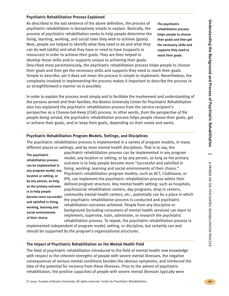⋗

PRIMER

g 로<br>금

PSYCHIATRIC

REHABILITATION

PROCESS

#### **Psychiatric Rehabilitation Process Explained**

As described in the last sentence of the above definition, the process of psychiatric rehabilitation is deceptively simple to explain. Basically, the process of psychiatric rehabilitation seeks to help people determine the living, learning, working, and social roles they wish to achieve (goals). Next, people are helped to identify what they need to do and what they can do well (skills) and what they have or need to have (supports or resources) in order to achieve their goals. They are then helped to develop those skills and/or supports unique to achieving their goals.

**The psychiatric rehabilitation process helps people to choose their goals and then get the necessary skills and supports they need to reach their goals.**

Described most parsimoniously, the psychiatric rehabilitation process helps people to choose their goals and then get the necessary skills and supports they need to reach their goals. Simple to describe, yet it does not mean the process is simple to implement. Nevertheless, the complexity involved in implementing the process makes it important to describe the process in as straightforward a manner as is possible.

In order to explain the process most simply and to facilitate the involvement and understanding of the persons served and their families, the Boston University Center for Psychiatric Rehabilitation also has explained the psychiatric rehabilitation process from the service recipient's perspective as a Choose-Get-Keep (CGK) process. In other words, *from the perspective of the people being served,* the psychiatric rehabilitation process helps people choose their goals, get or achieve their goals, and/or keep their goals, depending on their needs and wants.

#### **Psychiatric Rehabilitation Program Models, Settings, and Disciplines**

The psychiatric rehabilitation process is implemented in a variety of program models, in many different places or settings, and by most mental health disciplines. That is to say, the

**The psychiatric rehabilitation process can be implemented in any program model, any location or setting, or by any person, as long as the primary outcome is to help people become more successful and satisfied in living, working, learning and social environments of their choice.**

psychiatric rehabilitation process can be implemented in any program model, any location or setting, or by any person, as long as the primary outcome is to help people become more "successful and satisfied in living, working, learning and social environments of their choice." Psychiatric rehabilitation program models; such as ACT, Clubhouse, or IPS, can implement the psychiatric rehabilitation process within their defined program structure. Any mental health setting; such as hospitals, psychosocial rehabilitation centers, day programs, drop in centers, community mental health centers, etc., potentially can be a place in which the psychiatric rehabilitation process is conducted and psychiatric rehabilitation outcomes achieved. People from any discipline or background (including consumers of mental health services) can learn to implement, supervise, train, administer, or research the psychiatric rehabilitation process. To repeat, the psychiatric rehabilitation process is

implemented independent of program model, setting, or discipline, but certainly can and should be supported by the program's organizational structures.

#### **The Impact of Psychiatric Rehabilitation on the Mental Health Field**

The field of psychiatric rehabilitation introduced to the field of mental health new knowledge with respect to the inherent strengths of people with severe mental illnesses, the negative consequences of serious mental conditions besides the obvious symptoms, and reinforced the idea of the potential for recovery from these illnesses. Prior to the advent of psychiatric rehabilitation, the positive capacities of people with severe mental illnesses typically were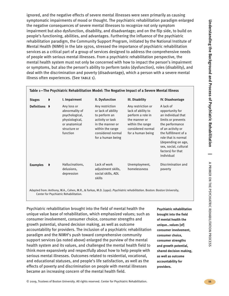ignored, and the negative effects of severe mental illnesses were seen primarily as causing symptomatic impairments of mood or thought. The psychiatric rehabilitation paradigm enlarged the negative consequences of severe mental illnesses to recognize not only symptom impairment but also dysfunction, disability, and disadvantage; and on the flip side, to build on people's functioning, abilities, and advantages. Furthering the influence of the psychiatric rehabilitation paradigm, the Community Support Program, initiated by the National Institute of Mental Health (NIMH) in the late 1970s, stressed the importance of psychiatric rehabilitation services as a critical part of a group of services designed to address the comprehensive needs of people with serious mental illnesses. From a psychiatric rehabilitation perspective, the mental health system must not only be concerned with how to impact the person's impairment or symptoms, but also the person's ability to perform tasks (dysfunction), roles (disability), and deal with the discrimination and poverty (disadvantage), which a person with a severe mental illness often experiences. (See TABLE 1).

| <b>Stages</b>      | ♦ | I. Impairment                                                                                                  | II. Dysfunction                                                                                                                                              | III. Disability                                                                                                                              | <b>IV. Disadvantage</b>                                                                                                                                                                                                                           |
|--------------------|---|----------------------------------------------------------------------------------------------------------------|--------------------------------------------------------------------------------------------------------------------------------------------------------------|----------------------------------------------------------------------------------------------------------------------------------------------|---------------------------------------------------------------------------------------------------------------------------------------------------------------------------------------------------------------------------------------------------|
| <b>Definitions</b> | ∙ | Any loss or<br>abnormality of<br>psychological,<br>physiological,<br>or anatomical<br>structure or<br>function | Any restriction<br>or lack of ability<br>to perform an<br>activity or task<br>in the manner or<br>within the range<br>considered normal<br>for a human being | Any restriction or<br>lack of ability to<br>perform a role in<br>the manner or<br>within the range<br>considered normal<br>for a human being | A lack of<br>opportunity for<br>an individual that<br>limits or prevents<br>the performance<br>of an activity or<br>the fulfillment of a<br>role that is normal<br>(depending on age,<br>sex, social, cultural<br>factors) for that<br>individual |
| <b>Examples</b>    | ⋫ | Hallucinations,<br>delusions,<br>depression                                                                    | Lack of work<br>adjustment skills,<br>social skills, ADL<br>skills                                                                                           | Unemployment,<br>homelessness                                                                                                                | Discrimination and<br>poverty                                                                                                                                                                                                                     |

Psychiatric rehabilitation brought into the field of mental health the unique value base of rehabilitation, which emphasized values; such as consumer involvement, consumer choice, consumer strengths and growth potential, shared decision making, as well as outcome accountability for providers. The inclusion of a psychiatric rehabilitation paradigm and the NIMH's push toward comprehensive community support services (as noted above) enlarged the purview of the mental health system and its values, and challenged the mental health field to think more expansively and respectfully about how to help people with serious mental illnesses. Outcomes related to residential, vocational, and educational statuses, and people's life satisfaction, as well as the effects of poverty and discrimination on people with mental illnesses became an increasing concern of the mental health field.

**Psychiatric rehabilitation brought into the field of mental health the unique…values [of] consumer involvement, consumer choice, consumer strengths and growth potential, shared decision making, as well as outcome accountability for providers.**

© 2009, Trustees of Boston University. All rights reserved. Center for Psychiatric Rehabilitation.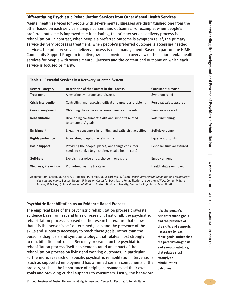#### **Differentiating Psychiatric Rehabilitation Services from Other Mental Health Services**

Mental health services for people with severe mental illnesses are distinguished one from the other based on each service's unique content and outcomes. For example, when people's preferred outcome is improved role functioning, the primary service delivery process is rehabilitation; in contrast, when people's preferred outcome is symptom relief, the primary service delivery process is treatment; when people's preferred outcome is accessing needed services, the primary service delivery process is case management. Based in part on the NIMH Community Support Program initiative, TABLE 2 provides an overview of the major mental health services for people with severe mental illnesses and the content and outcome on which each service is focused primarily.

| <b>Service Category</b>    | <b>Description of the Content in the Process</b>                                                          | <b>Consumer Outcome</b>   |
|----------------------------|-----------------------------------------------------------------------------------------------------------|---------------------------|
| <b>Treatment</b>           | Alleviating symptoms and distress                                                                         | Symptom relief            |
| <b>Crisis intervention</b> | Controlling and resolving critical or dangerous problems                                                  | Personal safety assured   |
| Case management            | Obtaining the services consumer needs and wants                                                           | Services accessed         |
| <b>Rehabilitation</b>      | Developing consumers' skills and supports related<br>to consumers' goals                                  | Role functioning          |
| <b>Enrichment</b>          | Engaging consumers in fulfilling and satisfying activities                                                | Self-development          |
| <b>Rights protection</b>   | Advocating to uphold one's rights                                                                         | Equal opportunity         |
| <b>Basic support</b>       | Providing the people, places, and things consumer<br>needs to survive (e.g., shelter, meals, health care) | Personal survival assured |
| Self-help                  | Exercising a voice and a choice in one's life                                                             | Empowerment               |
| <b>Wellness/Prevention</b> | Promoting healthy lifestyles                                                                              | Health status improved    |

*Case management.* Boston: Boston University, Center for Psychiatric Rehabilitation and Anthony, W.A., Cohen, M.R., & Farkas, M.D. (1990). *Psychiatric rehabilitation*. Boston: Boston University, Center for Psychiatric Rehabilitation.

#### **Psychiatric Rehabilitation as an Evidence-Based Process**

The empirical base of the psychiatric rehabilitation process draws its evidence base from several lines of research. First of all, the psychiatric rehabilitation process is based on the research literature that shows that it is the person's self-determined goals and the presence of the skills and supports necessary to reach those goals, rather than the person's diagnosis and symptomatology, that relates most strongly to rehabilitation outcomes. Secondly, research on the psychiatric rehabilitation process itself has demonstrated an impact of the rehabilitation process on living and working outcomes, in particular. Furthermore, research on specific psychiatric rehabilitation interventions (such as supported employment) has affirmed certain components of the process, such as the importance of helping consumers set their own goals and providing critical supports to consumers. Lastly, the behavioral

**It is the person's self-determined goals and the presence of the skills and supports necessary to reach those goals, rather than the person's diagnosis and symptomatology, that relates most strongly to rehabilitation outcomes.**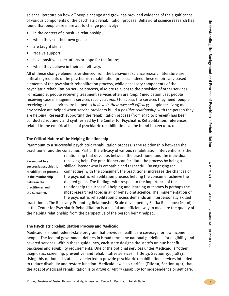로<br>금

PSYCHIATRIC

REHABILITATION

PROCESS

science literature on how *all* people change and grow has provided evidence of the significance of various components of the psychiatric rehabilitation process. Behavioral science research has found that people are more apt to change positively:

- in the context of a positive relationship;
- when they set their own goals;
- are taught skills;
- receive support;
- have positive expectations or hope for the future;
- when they believe in their self efficacy.

All of these change elements evidenced from the behavioral science research literature are critical ingredients of the psychiatric rehabilitation process. Indeed these empirically-based elements of the psychiatric rehabilitation process, while necessary components of the psychiatric rehabilitation service process, also are relevant to the provision of other services. For example, people receiving treatment services often are *taught* medication use; people receiving case management services receive *support* to access the services they need; people receiving crisis services are helped to *believe in their own self efficacy*; people receiving most any service are helped when service providers build a *positive relationship* with the person they are helping. Research supporting the rehabilitation process (from 1972 to present) has been conducted routinely and synthesized by the Center for Psychiatric Rehabilitation; references related to the empirical base of psychiatric rehabilitation can be found in APPENDIX D.

### **The Critical Nature of the Helping Relationship**

Paramount to a successful psychiatric rehabilitation process is the relationship between the practitioner and the consumer. Part of the efficacy of various rehabilitation interventions is the

**Paramount to a successful psychiatric rehabilitation process is the relationship between the practitioner and the consumer.**

relationship that develops between the practitioner and the individual receiving help. The practitioner can facilitate the process by being a skilled listener who is empathic and respectful. By engaging (or connecting) with the consumer, the practitioner increases the chances of the psychiatric rehabilitation process helping the consumer achieve the desired goals. The findings with respect to the importance of the relationship to successful helping and learning outcomes is perhaps the most researched topic in all of behavioral science. The implementation of the psychiatric rehabilitation process demands an interpersonally skilled

practitioner. The Recovery Promoting Relationship Scale developed by Zlatka Russinova (2006) at the Center for Psychiatric Rehabilitation is a useful and efficient way to measure the quality of the helping relationship from the perspective of the person being helped.

#### **The Psychiatric Rehabilitation Process and Medicaid**

Medicaid is a joint federal-state program that provides health care coverage for low income people. The federal government defines in broad terms the national guidelines for eligibility and covered services. Within these guidelines, each state designs the state's unique benefit packages and eligibility requirements. One of the optional services under Medicaid is "other diagnostic, screening, preventive, and rehabilitative services" (Title 19, Section 1905(a)(13). Using this option, all states have elected to provide psychiatric rehabilitation services intended to reduce disability and restore function. Medicaid law also clarifies (Title 19, Section 1901) that the goal of Medicaid rehabilitation is to *attain or retain* capability for independence or self care.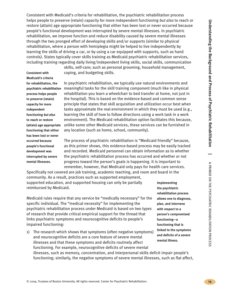⋗

PRIMER

g 로<br>금

PSYCHIATRIC

REHABILITATION

PROCESS

Consistent with Medicaid's criteria for rehabilitation, the psychiatric rehabilitation process helps people to preserve (retain) capacity for more independent functioning *but also* to reach or restore (attain) age appropriate functioning that either has been lost or never occurred because people's functional development was interrupted by severe mental illnesses. In psychiatric rehabilitation, we improve function and reduce disability caused by severe mental illnesses through the two pronged effort of developing skills and/or supports (similar to physical rehabilitation, where a person with hemiplegia might be helped to live independently by learning the skills of driving a car, or by using a car equipped with supports, such as hand controls). States typically cover skills training as Medicaid psychiatric rehabilitation services, including training regarding daily living/independent living skills, social skills, communication

> skills, self-care; such as personal grooming, household management, coping, and budgeting skills.

**Consistent with Medicaid's criteria for rehabilitation, the psychiatric rehabilitation process helps people to preserve (retain) capacity for more independent functioning** *but also* **to reach or restore (attain) age appropriate functioning that either has been lost or never occurred because people's functional development was interrupted by severe mental illnesses.**

In psychiatric rehabilitation, we typically use natural environments and meaningful tasks for the skill training component (much like in physical rehabilitation you learn a wheelchair to bed transfer at home, not just in the hospital). This is based on the evidence-based and common sense principle that states that skill acquisition and utilization occur best when tasks approximate the real environment in which they must be used (e.g., learning the skill of how to follow directions using a work task in a work environment). The Medicaid rehabilitation option facilitates this because, unlike some other Medicaid services, these services can be furnished in any location (such as home, school, community).

The process of psychiatric rehabilitation is "Medicaid friendly" because, as this primer shows, this evidence-based process may be easily tracked and recorded. Medicaid personnel can obtain information as to whether the psychiatric rehabilitation process has occurred and whether or not progress toward the person's goals is happening. It is important to remember, however, that Medicaid only pays for health care services.

Specifically not covered are job training, academic teaching, and room and board in the community. As a result, practices such as supported employment, supported education, and supported housing can only be partially reimbursed by Medicaid.

Medicaid rules require that any service be "medically necessary" for the specific individual. The "medical necessity" for implementing the psychiatric rehabilitation process under Medicaid is based on two types of research that provide critical empirical support for the thread that links psychiatric symptoms and neurocognitive deficits to people's impaired functioning:

1) The research which shows that symptoms (often negative symptoms) and neurocognitive deficits are a core feature of severe mental illnesses and that these symptoms and deficits routinely affect functioning. For example, neurocognitive deficits of severe mental

**Implementing the psychiatric rehabilitation process allows one to diagnose, plan, and intervene with respect to a person's compromised functioning—a functioning that is linked to the symptoms and deficits of a severe mental illness.**

illnesses, such as memory, concentration, and interpersonal skills deficit impair people's functioning; similarly, the negative symptoms of severe mental illnesses, such as flat affect,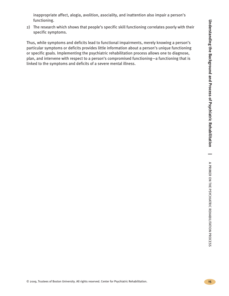2) The research which shows that people's specific skill functioning correlates poorly with their specific symptoms.

Thus, while symptoms and deficits lead to functional impairments, merely knowing a person's particular symptoms or deficits provides little information about a person's unique functioning or specific goals. Implementing the psychiatric rehabilitation process allows one to diagnose, plan, and intervene with respect to a person's compromised functioning—a functioning that is linked to the symptoms and deficits of a severe mental illness.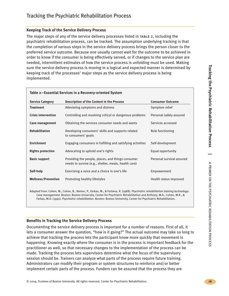#### **Keeping Track of the Service Delivery Process**

The major steps of any of the service delivery processes listed in table 2, including the psychiatric rehabilitation process, can be tracked. The assumption underlying tracking is that the completion of various steps in the service delivery process brings the person closer to the preferred service outcome. Because one usually cannot wait for the outcome to be achieved in order to know if the consumer is being effectively served, or if changes to the service plan are needed, intermittent estimates of how the service process is unfolding must be used. Making sure the service delivery process is moving in a logical and expected manner is determined by keeping track of the processes' major steps as the service delivery process is being implemented.

| <b>Description of the Content in the Process</b><br>Alleviating symptoms and distress<br>Controlling and resolving critical or dangerous problems<br>Obtaining the services consumer needs and wants<br>Developing consumers' skills and supports related<br>to consumers' goals<br>Engaging consumers in fulfilling and satisfying activities | <b>Consumer Outcome</b><br>Symptom relief<br>Personal safety assured<br>Services accessed<br>Role functioning |
|------------------------------------------------------------------------------------------------------------------------------------------------------------------------------------------------------------------------------------------------------------------------------------------------------------------------------------------------|---------------------------------------------------------------------------------------------------------------|
|                                                                                                                                                                                                                                                                                                                                                |                                                                                                               |
|                                                                                                                                                                                                                                                                                                                                                |                                                                                                               |
|                                                                                                                                                                                                                                                                                                                                                |                                                                                                               |
|                                                                                                                                                                                                                                                                                                                                                |                                                                                                               |
|                                                                                                                                                                                                                                                                                                                                                |                                                                                                               |
|                                                                                                                                                                                                                                                                                                                                                | Self-development                                                                                              |
| Advocating to uphold one's rights                                                                                                                                                                                                                                                                                                              | Equal opportunity                                                                                             |
| Providing the people, places, and things consumer<br>needs to survive (e.g., shelter, meals, health care)                                                                                                                                                                                                                                      | Personal survival assured                                                                                     |
| Exercising a voice and a choice in one's life                                                                                                                                                                                                                                                                                                  | Empowerment                                                                                                   |
| Promoting healthy lifestyles                                                                                                                                                                                                                                                                                                                   | Health status improved                                                                                        |
|                                                                                                                                                                                                                                                                                                                                                |                                                                                                               |

#### **Benefits in Tracking the Service Delivery Process**

Documenting the service delivery process is important for a number of reasons. First of all, it lets a consumer answer the question, "how is it going?" The actual outcome may take so long to achieve that tracking the process lets the participant know more quickly that movement is happening. Knowing exactly where the consumer is in the process is important feedback for the practitioner as well, so that necessary changes to the implementation of the process can be made. Tracking the process lets supervisors determine what the focus of the supervisory session should be. Trainers can analyze what parts of the process require future training. Administrators can modify their program or system structures to reinforce and/or better implement certain parts of the process. Funders can be assured that the process they are

REHABILITATION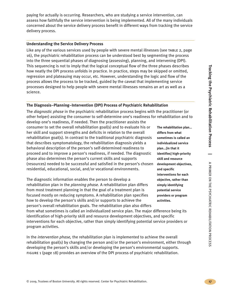⋗

PRIMER

g 로<br>금

PSYCHIATRIC

REHABILITATION

PROCESS

paying for actually is occurring. Researchers, who are studying a service intervention, can assess how faithfully the service intervention is being implemented. All of the many individuals concerned about the service delivery process benefit in different ways from tracking the service delivery process.

#### **Understanding the Service Delivery Process**

Like any of the various services used by people with severe mental illnesses (see TABLE 2, page 16), the psychiatric rehabilitation process can be understood best by segmenting the process into the three sequential phases of diagnosing (assessing), planning, and intervening (DPI). This sequencing is not to imply that the logical conceptual flow of the three phases describes how neatly the DPI process unfolds in practice. In practice, steps may be skipped or omitted, regression and plateauing may occur, etc. However, understanding the logic and flow of the process allows the process to be tracked, guided by the caveat that implementing service processes designed to help people with severe mental illnesses remains an art as well as a science.

#### **The Diagnosis–Planning–Intervention (DPI) Process of Psychiatric Rehabilitation**

The *diagnostic phase* in the psychiatric rehabilitation process begins with the practitioner (or other helper) assisting the consumer to self-determine one's readiness for rehabilitation and to develop one's readiness, if needed. Then the practitioner assists the consumer to set the overall rehabilitation goal(s) and to evaluate his or her skill and support strengths and deficits in relation to the overall rehabilitation goal(s). In contrast to the traditional psychiatric diagnosis that describes symptomatology, the rehabilitation diagnosis yields a behavioral description of the person's self-determined readiness to proceed and to improve a person's readiness, if needed. The diagnostic phase also determines the person's current skills and supports (resources) needed to be successful and satisfied in the person's chosen residential, educational, social, and/or vocational environments. **and specific**

The diagnostic information enables the person to develop a rehabilitation plan in the *planning phase.* A rehabilitation plan differs from most treatment planning in that the goal of a treatment plan is focused mostly on reducing symptoms. A rehabilitation plan specifies how to develop the person's skills and/or supports to achieve the person's overall rehabilitation goals. The rehabilitation plan also differs from what sometimes is called an individualized service plan. The major difference being its

identification of high-priority skill and resource development objectives, and specific interventions for each objective, rather than simply identifying potential service providers or program activities.

In the *intervention phase,* the rehabilitation plan is implemented to achieve the overall rehabilitation goal(s) by changing the person and/or the person's environment, either through developing the person's skills and/or developing the person's environmental supports. figure 1 (page 18) provides an overview of the DPI process of psychiatric rehabilitation.

**The rehabilitation plan… differs from what sometimes is called an individualized service plan…[in that it identifies] high-priority skill and resource development objectives, interventions for each objective, rather than simply identifying potential service providers or program activities.**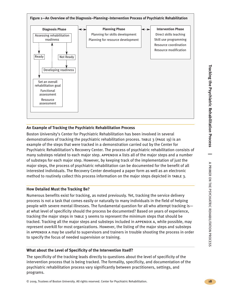

#### **An Example of Tracking the Psychiatric Rehabilitation Process**

Boston University's Center for Psychiatric Rehabilitation has been involved in several demonstrations of tracking the psychiatric rehabilitation process. TABLE  $3$  (PAGE 19) is an example of the steps that were tracked in a demonstration carried out by the Center for Psychiatric Rehabilitation's Recovery Center. The process of psychiatric rehabilitation consists of many substeps related to each major step. APPENDIX A lists all of the major steps and a number of substeps for each major step. However, by keeping track of the implementation of just the major steps, the process of psychiatric rehabilitation can be documented for the benefit of all interested individuals. The Recovery Center developed a paper form as well as an electronic method to routinely collect this process information on the major steps depicted in table 3.

#### **How Detailed Must the Tracking Be?**

Numerous benefits exist for tracking, as noted previously. Yet, tracking the service delivery process is not a task that comes easily or naturally to many individuals in the field of helping people with severe mental illnesses. The fundamental question for all who attempt tracking is at what level of specificity should the process be documented? Based on years of experience, tracking the major steps in TABLE 3 seems to represent the minimum steps that should be tracked. Tracking all the major steps and substeps included in APPENDIX A, while possible, may represent overkill for most organizations. However, the listing of the major steps and substeps in appendix a may be useful to supervisors and trainers in trouble shooting the process in order to specify the focus of needed supervision or training.

#### **What about the Level of Specificity of the Intervention Itself?**

The specificity of the tracking leads directly to questions about the level of specificity of the intervention process that is being tracked. The formality, specificity, and documentation of the psychiatric rehabilitation process vary significantly between practitioners, settings, and programs.

**|**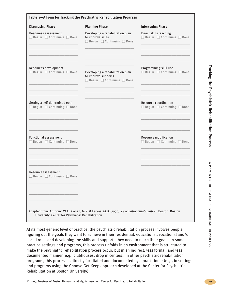| Table 3-A Form for Tracking the Psychiatric Rehabilitation Progress        |                                                                                                            |                                                                      |  |  |  |  |  |
|----------------------------------------------------------------------------|------------------------------------------------------------------------------------------------------------|----------------------------------------------------------------------|--|--|--|--|--|
| <b>Diagnosing Phase</b>                                                    | <b>Planning Phase</b>                                                                                      | <b>Intervening Phase</b>                                             |  |  |  |  |  |
| Readiness assessment<br>□ Begun □ Continuing □ Done                        | Developing a rehabilitation plan<br>to improve skills<br>$\Box$ Begun $\Box$ Continuing $\Box$ Done        | Direct skills teaching<br>$\Box$ Begun $\Box$ Continuing $\Box$ Done |  |  |  |  |  |
| Readiness development<br>□ Begun □ Continuing □ Done                       | Developing a rehabilitation plan<br>to improve supports<br>□ Begun □ Continuing □ Done                     | Programming skill use<br>$\Box$ Begun $\Box$ Continuing $\Box$ Done  |  |  |  |  |  |
| Setting a self-determined goal<br>□ Begun □ Continuing □ Done              |                                                                                                            | Resource coordination<br>$\Box$ Begun $\Box$ Continuing $\Box$ Done  |  |  |  |  |  |
| <b>Functional assessment</b><br>$\Box$ Begun $\Box$ Continuing $\Box$ Done |                                                                                                            | Resource modification<br>$\Box$ Begun $\Box$ Continuing $\Box$ Done  |  |  |  |  |  |
| Resource assessment<br>$\Box$ Begun $\Box$ Continuing $\Box$ Done          |                                                                                                            |                                                                      |  |  |  |  |  |
| University, Center for Psychiatric Rehabilitation.                         | Adapted from: Anthony, W.A., Cohen, M.R. & Farkas, M.D. (1990). Psychiatric rehabilitation. Boston: Boston |                                                                      |  |  |  |  |  |

At its most generic level of practice, the psychiatric rehabilitation process involves people figuring out the goals they want to achieve in their residential, educational, vocational and/or social roles and developing the skills and supports they need to reach their goals. In some practice settings and programs, this process unfolds in an environment that is structured to make the psychiatric rehabilitation process occur, but in an indirect, less formal, and less documented manner (e.g., clubhouses, drop in centers). In other psychiatric rehabilitation programs, this process is directly facilitated and documented by a practitioner (e.g., in settings and programs using the Choose-Get-Keep approach developed at the Center for Psychiatric Rehabilitation at Boston University).

**Trackin g**

**th e**

**P s ychiatric**

**R e h a bilitatio n**

**Proce s s**

**|**

⋗

PRIMER

g 로<br>금

PSYCHIATRIC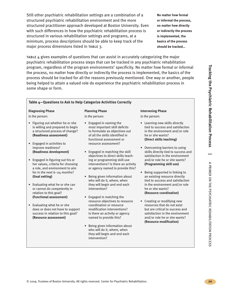Still other psychiatric rehabilitation settings are a combination of a structured psychiatric rehabilitation environment and the more structured practitioner approach developed at Boston University. Even with such differences in how the psychiatric rehabilitation process is structured in various rehabilitation settings and programs, at a minimum, process descriptions should be able to keep track of the major process dimensions listed in TABLE 3.

**No matter how formal or informal the process, no matter how directly or indirectly the process is implemented, the basics of the process should be tracked…**

table 4 gives examples of questions that can assist in accurately categorizing the major psychiatric rehabilitation process steps that can be tracked in any psychiatric rehabilitation program, regardless of the program environments' specificity. No matter how formal or informal the process, no matter how directly or indirectly the process is implemented, the basics of the process should be tracked for all the reasons previously mentioned. One way or another, people being helped to attain a valued role do experience the psychiatric rehabilitation process in some shape or form.

#### **Table 4—Questions to Ask to Help Categorize Activities Correctly**

#### **Diagnosing Phase**

#### *Is the person:*

- Figuring out whether he or she is willing and prepared to begin a structured process of change? **(Readiness assessment)**
- Engaged in activities to improve readiness? **(Readiness development)**
- Engaged in figuring out his or her values, criteria for choosing a role, and environment to aim for in the next 6–24 months? **(Goal setting)**
- Evaluating what he or she can or cannot do competently in relation to this goal? **(Functional assessment)**
- Evaluating what he or she does or does not have to support success in relation to this goal? **(Resource assessment)**

#### **Planning Phase**

*Is the person:*

- Engaged in naming the most important skill deficits to formulate as objectives out of all the skills identified in functional assessment or resource assessment?
- Engaged in matching the skill objectives to direct skills teaching or programming skill use interventions? Is there an activity or agency named to provide this?
- Being given information about who will do it, where, when they will begin and end each intervention?
- Engaged in matching the resource objectives to resource coordination or resource modification interventions? Is there an activity or agency named to provide this?
- Being given information about who will do it, where, when they will begin and end each intervention?

#### **Intervening Phase**

*Is the person:*

- Learning new skills directly tied to success and satisfaction in the environment and/or role he or she wants? **(Direct skills teaching)**
- Overcoming barriers to using skills directly tied to success and satisfaction in the environment and/or role he or she wants? **(Programming skill use)**
- Being supported in linking to an existing resource directly tied to success and satisfaction in the environment and/or role he or she wants? **(Resource coordination)**
- Creating or modifying new resources that do not exist but are critical to success and satisfaction in the environment and/or role he or she wants? **(Resource modification)**

**|**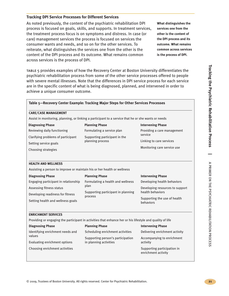# **Trackin g th e P s ychiatric R e h a bilitatio n Proce s s**

**|**

#### **Tracking DPI Service Processes for Different Services**

As noted previously, the content of the psychiatric rehabilitation DPI process is focused on goals, skills, and supports. In treatment services, the treatment process focus is on symptoms and distress. In case (or care) management services the process is focused on services the consumer wants and needs, and so on for the other services. To reiterate, what distinguishes the services one from the other is the content of the DPI process and its outcome. What remains common across services is the process of DPI.

**What distinguishes the services one from the other is the content of the DPI process and its outcome. What remains common across services is the process of DPI.**

table 5 provides examples of how the Recovery Center at Boston University differentiates the psychiatric rehabilitation process from some of the other service processes offered to people with severe mental illnesses. Note that the differences in DPI service process for each service are in the specific content of what is being diagnosed, planned, and intervened in order to achieve a unique consumer outcome.

| <b>CARE/CASE MANAGEMENT</b>                                             |                                                                                                           |                                           |
|-------------------------------------------------------------------------|-----------------------------------------------------------------------------------------------------------|-------------------------------------------|
|                                                                         | Assist in monitoring, planning, or linking a participant to a service that he or she wants or needs       |                                           |
| <b>Diagnosing Phase</b>                                                 | <b>Planning Phase</b>                                                                                     | <b>Intervening Phase</b>                  |
| Reviewing daily functioning                                             | Formulating a service plan                                                                                | Providing a care management               |
| Clarifying problems of participant                                      | Supporting participant in the                                                                             | service                                   |
| Setting service goals                                                   | planning process                                                                                          | Linking to care services                  |
| Choosing strategies                                                     |                                                                                                           | Monitoring care service use               |
|                                                                         |                                                                                                           |                                           |
| <b>HEALTH AND WELLNESS</b>                                              |                                                                                                           |                                           |
| Assisting a person to improve or maintain his or her health or wellness |                                                                                                           |                                           |
| <b>Diagnosing Phase</b>                                                 | <b>Planning Phase</b>                                                                                     | <b>Intervening Phase</b>                  |
| Engaging participant in relationship                                    | Formulating a health and wellness                                                                         | Developing health behaviors               |
| Assessing fitness status                                                | plan                                                                                                      | Developing resources to support           |
| Developing readiness for fitness                                        | Supporting participant in planning<br>process                                                             | health behaviors                          |
| Setting health and wellness goals                                       |                                                                                                           | Supporting the use of health<br>behaviors |
| <b>ENRICHMENT SERVICES</b>                                              |                                                                                                           |                                           |
|                                                                         | Providing or engaging the participant in activities that enhance her or his lifestyle and quality of life |                                           |
| <b>Diagnosing Phase</b>                                                 | <b>Planning Phase</b>                                                                                     | <b>Intervening Phase</b>                  |
| Identifying enrichment needs and                                        | Scheduling enrichment activities                                                                          | Delivering enrichment activity            |
| values                                                                  | Supporting person's participation                                                                         | Accompanying to enrichment                |
| Evaluating enrichment options                                           | in planning activities                                                                                    | activity                                  |
| Choosing enrichment activities                                          |                                                                                                           | Supporting participation in               |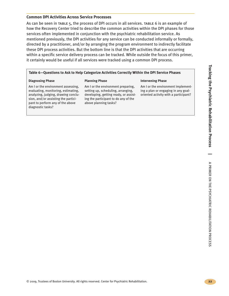#### **Common DPI Activities Across Service Processes**

As can be seen in table 5, the process of DPI occurs in all services. table 6 is an example of how the Recovery Center tried to describe the common activities within the DPI phases for those services often implemented in conjunction with the psychiatric rehabilitation service. As mentioned previously, the DPI activities for any service can be conducted informally or formally, directed by a practitioner, and/or by arranging the program environment to indirectly facilitate these DPI process activities. But the bottom line is that the DPI activities that are occurring within a specific service delivery process can be tracked. While outside the focus of this primer, it certainly would be useful if all services were tracked using a common DPI process.

#### **Table 6—Questions to Ask to Help Categorize Activities Correctly Within the DPI Service Phases**

#### **Diagnosing Phase**

#### **Planning Phase**

Am I or the environment assessing, evaluating, monitoring, estimating, analyzing, judging, drawing conclusion, and/or assisting the participant to perform any of the above diagnostic tasks?

Am I or the environment preparing, setting up, scheduling, arranging, developing, getting ready, or assisting the participant to do any of the above planning tasks?

Am I or the environment implementing a plan or engaging in any goaloriented activity with a participant?

**Intervening Phase**

**|**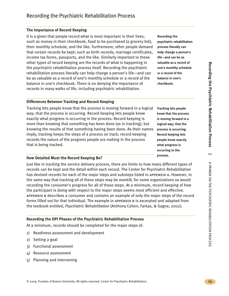**Recording the**

**psychiatric rehabilitation process literally can help change a person's life—and can be as valuable as a record of one's monthly schedule or a record of the balance in one's checkbook.**

**Tracking lets people know that the process is moving forward in a logical way; that the process is occurring. Record keeping lets people know exactly what progress is occurring in the**

**process.**

**|**

⋗

PRIMER

g 로<br>금

PSYCHIATRIC

REHABILITATION

PROCESS

#### **The Importance of Record Keeping**

It is a given that people record what is most important in their lives; such as money in their checkbook, food to be purchased (a grocery list), their monthly schedule, and the like. Furthermore, other people demand that certain records be kept; such as birth records, marriage certificates, income tax forms, passports, and the like. Similarly important to these other types of record keeping are the records of what is happening in the psychiatric rehabilitation process itself. Recording the psychiatric rehabilitation process literally can help change a person's life—and can be as valuable as a record of one's monthly schedule or a record of the balance in one's checkbook. There is no denying the importance of records in many walks of life, including psychiatric rehabilitation.

**Differences Between Tracking and Record Keeping**

Tracking lets people know that the process is moving forward in a logical way; that the process is occurring. Record keeping lets people know exactly what progress is occurring in the process. Record keeping is more than knowing that something has been done (as in tracking), but knowing the results of that something having been done. As their names imply, tracking keeps the steps of a process on track; record keeping records the nature of the progress people are making in the process that is being tracked.

#### **How Detailed Must the Record Keeping Be?**

Just like in tracking the service delivery process, there are limits to how many different types of records can be kept and the detail within each record. The Center for Psychiatric Rehabilitation has devised records for each of the major steps and substeps listed in APPENDIX A. However, in the same way that tracking all of these steps may be overkill, for some organizations so would recording the consumer's progress for all of these steps. At a minimum, record keeping of how the participant is doing with respect to the major steps seems most efficient and effective. appendix b describes a consumer and contains an example of only the major steps of the record forms filled out for that individual. The example in APPENDIX B is excerpted and adapted from the textbook entitled, *Psychiatric Rehabilitation* (Anthony Cohen, Farkas, & Gagne, 2002).

#### **Recording the DPI Phases of the Psychiatric Rehabilitation Process**

At a minimum, records should be completed for the major steps of:

- 1) Readiness assessment and development
- 2) Setting a goal
- 3) Functional assessment
- 4) Resource assessment
- 5) Planning and intervening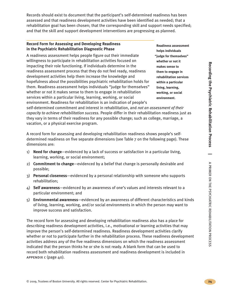Records should exist to document that the participant's self-determined readiness has been assessed and that readiness development activities have been identified as needed; that a rehabilitation goal has been chosen; that the corresponding skill and support needs specified; and that the skill and support development interventions are progressing as planned.

#### **Record Form for Assessing and Developing Readiness in the Psychiatric Rehabilitation Diagnostic Phase**

A readiness assessment helps people figure out their immediate willingness to participate in rehabilitation activities focused on impacting their role functioning. If individuals determine in the readiness assessment process that they do not feel ready, readiness development activities help them increase the knowledge and hopefulness about the possibilities psychiatric rehabilitation holds for them. Readiness assessment helps individuals "judge for themselves" whether or not it makes sense to them to engage in rehabilitation services within a particular living, learning, working, or social environment. Readiness for rehabilitation is an indication of people's

**Readiness assessment helps individuals "judge for themselves" whether or not it makes sense to them to engage in rehabilitation services within a particular living, learning, working, or social environment.**

self-determined commitment and interest in rehabilitation, and *not an assessment of their capacity to achieve rehabilitation success.* People differ in their rehabilitation readiness just as they vary in terms of their readiness for any possible change; such as college, marriage, a vacation, or a physical exercise program.

A record form for assessing and developing rehabilitation readiness shows people's selfdetermined readiness on five separate dimensions (see Table 7 on the following page). These dimensions are:

- 1) **Need for change**—evidenced by a lack of success or satisfaction in a particular living, learning, working, or social environment;
- 2) **Commitment to change**—evidenced by a belief that change is personally desirable and possible;
- 3) **Personal closeness**—evidenced by a personal relationship with someone who supports rehabilitation;
- 4) **Self awareness**—evidenced by an awareness of one's values and interests relevant to a particular environment; and
- 5) **Environmental awareness**—evidenced by an awareness of different characteristics and kinds of living, learning, working, and/or social environments in which the person may want to improve success and satisfaction.

The record form for assessing and developing rehabilitation readiness also has a place for describing readiness development activities, i.e., motivational or learning activities that may improve the person's self-determined readiness. Readiness development activities clarify whether or not to participate further in the rehabilitation process. These readiness development activities address any of the five readiness dimensions on which the readiness assessment indicated that the person thinks he or she is not ready. A blank form that can be used to record both rehabilitation readiness assessment and readiness development is included in appendix c (page 40).

**|**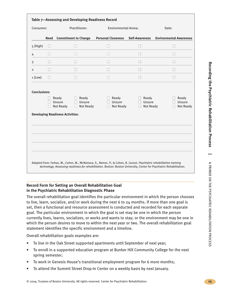| Consumer:      |             | Practitioner:                                                                 | <b>Environmental Arena:</b> |                       | Date:                          |
|----------------|-------------|-------------------------------------------------------------------------------|-----------------------------|-----------------------|--------------------------------|
|                | <b>Need</b> | <b>Commitment to Change</b>                                                   | <b>Personal Closeness</b>   | <b>Self-Awareness</b> | <b>Environmental Awareness</b> |
| 5 (High)       | П           | П                                                                             | П                           | П                     | П                              |
| 4              | П           | П                                                                             | П                           | П                     | П                              |
| 3              | П           | п                                                                             | П                           | П                     | П                              |
| $\overline{2}$ | п           | $\Box$                                                                        | П                           | П                     | П                              |
| 1 (Low)        | П           | $\Box$                                                                        | П                           | П                     | П                              |
|                |             | $\Box$ Not Ready<br>Not Ready<br>□<br><b>Developing Readiness Activities:</b> | $\Box$ Not Ready            | Not Ready<br>$\Box$   | <b>Not Ready</b><br>□          |
|                |             |                                                                               |                             |                       |                                |

#### **Record Form for Setting an Overall Rehabilitation Goal in the Psychiatric Rehabilitation Diagnostic Phase**

The overall rehabilitation goal identifies the particular environment in which the person chooses to live, learn, socialize, and/or work during the next 6 to 24 months. If more than one goal is set, then a functional and resource assessment is conducted and recorded for each separate goal. The particular environment in which the goal is set may be one in which the person currently lives, learns, socializes, or works and wants to stay; or the environment may be one in which the person desires to move to within the next year or two. The overall rehabilitation goal statement identifies the specific environment and a timeline.

Overall rehabilitation goals examples are:

- To live in the Oak Street supported apartments until September of next year;
- To enroll in a supported education program at Bunker Hill Community College for the next spring semester;
- To work in Genesis House's transitional employment program for 6 more months;
- To attend the Summit Street Drop-In Center on a weekly basis by next January.

**R ecordin g**

**th e**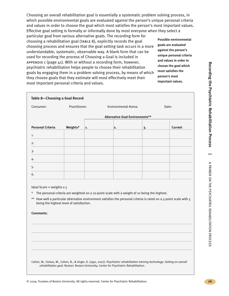Choosing an overall rehabilitation goal is essentially a systematic problem solving process, in which possible environmental goals are evaluated against the person's unique personal criteria and values in order to choose the goal which most satisfies the person's most important values. Effective goal setting is formally or informally done by most everyone when they select a particular goal from various alternative goals. The recording form for choosing a rehabilitation goal (table 8), explicitly records the goal choosing process and ensures that the goal setting task occurs in a more understandable, systematic, observable way. A blank form that can be used for recording the process of Choosing a Goal is included in appendix c (page 41). With or without a recording form, however, psychiatric rehabilitation helps people to choose their rehabilitation goals by engaging them in a problem solving process, by means of which they choose goals that they estimate will most effectively meet their most important personal criteria and values. **Possible environmental goals are evaluated against the person's unique personal criteria and values in order to choose the goal which most satisfies the person's most important values.**

| Table 8-Choosing a Goal Record |               |    |                             |                                 |         |
|--------------------------------|---------------|----|-----------------------------|---------------------------------|---------|
| Consumer:                      | Practitioner: |    | <b>Environmental Arena:</b> |                                 | Date:   |
|                                |               |    |                             | Alternative Goal Environments** |         |
| <b>Personal Criteria</b>       | Weights*      | 1. | 2.                          | 3.                              | Current |
| 1.                             |               |    |                             |                                 |         |
| 2.                             |               |    |                             |                                 |         |
| 3.                             |               |    |                             |                                 |         |
| 4.                             |               |    |                             |                                 |         |
| 5.                             |               |    |                             |                                 |         |
| 6.                             |               |    |                             |                                 |         |

Ideal Score = weights  $x$  5

\* The personal criteria are weighted on a 10-point scale with a weight of 10 being the highest.

\*\* How well a particular alternative environment satisfies the personal criteria is rated on a 5-point scale with 5 being the highest level of satisfaction.

**Comments:**

Cohen, M., Farkas, M., Cohen, B., & Unger, K. (1991, 2007). *Psychiatric rehabilitation training technology: Setting an overall rehabilitation goal.* Boston: Boston University, Center for Psychiatric Rehabilitation.

**R ecordin g**

**th e**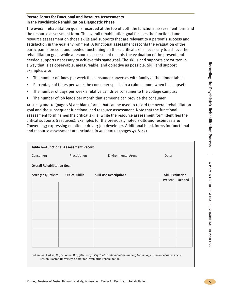⋗

PRIMER

g 로<br>금

PSYCHIATRIC

REHABILITATION

PROCESS

#### **Record Forms for Functional and Resource Assessments in the Psychiatric Rehabilitation Diagnostic Phase**

The overall rehabilitation goal is recorded at the top of both the functional assessment form and the resource assessment form. The overall rehabilitation goal focuses the functional and resource assessment on those skills and supports that are relevant to a person's success and satisfaction in the goal environment. A functional assessment records the evaluation of the participant's present and needed functioning on those critical skills necessary to achieve the rehabilitation goal, while a resource assessment records the evaluation of the present and needed supports necessary to achieve this same goal. The skills and supports are written in a way that is as observable, measureable, and objective as possible. Skill and support examples are:

- The number of times per week the consumer converses with family at the dinner table;
- Percentage of times per week the consumer speaks in a calm manner when he is upset;
- The number of days per week a relative can drive consumer to the college campus;
- The number of job leads per month that someone can provide the consumer.

tables 9 and 10 (page 28) are blank forms that can be used to record the overall rehabilitation goal and the subsequent functional and resource assessment. Note that the functional assessment form names the critical skills, while the resource assessment form identifies the critical supports (resources). Examples for the previously noted skills and resources are: Conversing; expressing emotions; driver; job developer. Additional blank forms for functional and resource assessment are included in appendix c (pages 42 & 43).

|                                     | Table 9-Functional Assessment Record |                               |                         |        |
|-------------------------------------|--------------------------------------|-------------------------------|-------------------------|--------|
| Consumer:                           | Practitioner:                        | <b>Environmental Arena:</b>   | Date:                   |        |
| <b>Overall Rehabilitation Goal:</b> |                                      |                               |                         |        |
| <b>Strengths/Deficits</b>           | <b>Critical Skills</b>               | <b>Skill Use Descriptions</b> | <b>Skill Evaluation</b> |        |
|                                     |                                      |                               | Present                 | Needed |
|                                     |                                      |                               |                         |        |
|                                     |                                      |                               |                         |        |
|                                     |                                      |                               |                         |        |
|                                     |                                      |                               |                         |        |
|                                     |                                      |                               |                         |        |
|                                     |                                      |                               |                         |        |
|                                     |                                      |                               |                         |        |
|                                     |                                      |                               |                         |        |
|                                     |                                      |                               |                         |        |
|                                     |                                      |                               |                         |        |
|                                     |                                      |                               |                         |        |

Cohen, M., Farkas, M., & Cohen, B. (1986, 2007). *Psychiatric rehabilitation training technology: Functional assessment.* Boston: Boston University, Center for Psychiatric Rehabilitation.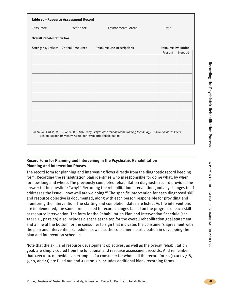|                                              | Table 10-Resource Assessment Record                               |                                                                                                                         |                            |        |
|----------------------------------------------|-------------------------------------------------------------------|-------------------------------------------------------------------------------------------------------------------------|----------------------------|--------|
| Consumer:                                    | Practitioner:                                                     | <b>Environmental Arena:</b>                                                                                             | Date:                      |        |
| <b>Overall Rehabilitation Goal:</b>          |                                                                   |                                                                                                                         |                            |        |
| <b>Strengths/Deficits Critical Resources</b> |                                                                   | <b>Resource Use Descriptions</b>                                                                                        | <b>Resource Evaluation</b> |        |
|                                              |                                                                   |                                                                                                                         | Present                    | Needed |
|                                              |                                                                   |                                                                                                                         |                            |        |
|                                              |                                                                   |                                                                                                                         |                            |        |
|                                              |                                                                   |                                                                                                                         |                            |        |
|                                              |                                                                   |                                                                                                                         |                            |        |
|                                              |                                                                   |                                                                                                                         |                            |        |
|                                              |                                                                   |                                                                                                                         |                            |        |
|                                              |                                                                   |                                                                                                                         |                            |        |
|                                              |                                                                   |                                                                                                                         |                            |        |
|                                              |                                                                   |                                                                                                                         |                            |        |
|                                              |                                                                   |                                                                                                                         |                            |        |
|                                              |                                                                   | Cohen, M., Farkas, M., & Cohen, B. (1986, 2007). Psychiatric rehabilitation training technology: Functional assessment. |                            |        |
|                                              | Boston: Boston University, Center for Psychiatric Rehabilitation. |                                                                                                                         |                            |        |

#### **Record Form for Planning and Intervening in the Psychiatric Rehabilitation Planning and Intervention Phases**

The record form for planning and intervening flows directly from the diagnostic record keeping form. Recording the rehabilitation plan identifies who is responsible for doing what, by when, for how long and where. The previously completed rehabilitation diagnostic record provides the answer to the question: "why?" Recording the rehabilitation intervention (and any changes to it) addresses the issue: "how well are we doing?" The specific intervention for each diagnosed skill and resource objective is documented, along with each person responsible for providing and monitoring the intervention. The starting and completion dates are listed. As the interventions are implemented, the same form is used to record changes based on the progress of each skill or resource intervention. The form for the Rehabilitation Plan and Intervention Schedule (see table 11, page 29) also includes a space at the top for the overall rehabilitation goal statement and a line at the bottom for the consumer to sign that indicates the consumer's agreement with the plan and intervention schedule, as well as the consumer's participation in developing the plan and intervention schedule.

Note that the skill and resource development objectives, as well as the overall rehabilitation goal, are simply copied from the functional and resource assessment records. And remember that APPENDIX B provides an example of a consumer for whom all the record forms (TABLES 7, 8, 9, 10, and 11) are filled out and APPENDIX c includes additional blank recording forms.

**|**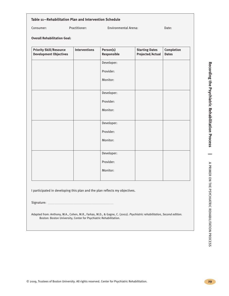#### **Table 11—Rehabilitation Plan and Intervention Schedule**

Consumer: Practitioner: Environmental Arena: Date:

**Overall Rehabilitation Goal:**

| <b>Priority Skill/Resource</b><br><b>Development Objectives</b> | <b>Interventions</b> | Person(s)<br>Responsible | <b>Starting Dates</b><br>Projected/Actual | Completion<br><b>Dates</b> |
|-----------------------------------------------------------------|----------------------|--------------------------|-------------------------------------------|----------------------------|
|                                                                 |                      | Developer:               |                                           |                            |
|                                                                 |                      | Provider:                |                                           |                            |
|                                                                 |                      | Monitor:                 |                                           |                            |
|                                                                 |                      | Developer:               |                                           |                            |
|                                                                 |                      | Provider:                |                                           |                            |
|                                                                 |                      | Monitor:                 |                                           |                            |
|                                                                 |                      | Developer:               |                                           |                            |
|                                                                 |                      | Provider:                |                                           |                            |
|                                                                 |                      | Monitor:                 |                                           |                            |
|                                                                 |                      | Developer:               |                                           |                            |
|                                                                 |                      | Provider:                |                                           |                            |
|                                                                 |                      | Monitor:                 |                                           |                            |

I participated in developing this plan and the plan reflects my objectives.

Signature:

Adapted from: Anthony, W.A., Cohen, M.R., Farkas, M.D., & Gagne, C. (2002). *Psychiatric rehabilitation, Second edition.* Boston: Boston University, Center for Psychiatric Rehabilitation.

**R ecordin g**

REHABILITATION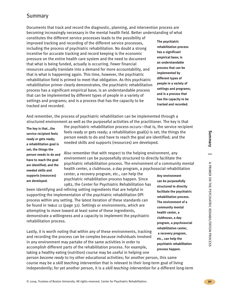### Summary

Documents that track and record the diagnostic, planning, and intervention process are becoming increasingly necessary in the mental health field. Better understanding of what

constitutes the different service processes leads to the possibility of improved tracking and recording of the different service processes, including the process of psychiatric rehabilitation. No doubt a strong incentive for accurate tracking and record keeping is the economic pressure on the entire health care system and the need to document that what is being funded, actually is occurring. Fewer financial resources usually translate into a demand for more accountability, and that is what is happening again. This time, however, the psychiatric rehabilitation field is primed to meet that obligation. As this psychiatric rehabilitation primer clearly demonstrates, the psychiatric rehabilitation process has a significant empirical base; is an understandable process that can be implemented by different types of people in a variety of settings and programs; and is a process that has the capacity to be tracked and recorded.

**The psychiatric rehabilitation process has a significant empirical base; is an understandable process that can be implemented by different types of people in a variety of settings and programs; and is a process that has the capacity to be tracked and recorded.**

And remember, the process of psychiatric rehabilitation can be implemented through a structured environment as well as the purposeful activities of the practitioner. The key is that

**The key is that…the service recipient feels ready or gets ready; a rehabilitation goal is set; the things the person needs to do and have to reach the goal are identified; and the needed skills and supports (resources) are developed.**

the psychiatric rehabilitation process occurs—that is, the service recipient feels ready or gets ready; a rehabilitation goal(s) is set; the things the person needs to do and have to reach the goal are identified; and the needed skills and supports (resources) are developed.

Also remember that with respect to the helping environment, any environment can be purposefully structured to directly facilitate the psychiatric rehabilitation process. The environment of a community mental health center, a clubhouse, a day program, a psychosocial rehabilitation center, a recovery program, etc., can help the psychiatric rehabilitation process happen. Since 1982, the Center for Psychiatric Rehabilitation has **Any environment can be purposefully**

been identifying and refining setting ingredients that are helpful in supporting the implementation of the psychiatric rehabilitation DPI process within any setting. The latest iteration of these standards can be found in table 12 (page 32). Settings or environments, which are attempting to move toward at least some of these ingredients, demonstrate a willingness and a capacity to implement the psychiatric rehabilitation process.

Lastly, it is worth noting that within any of these environments, tracking and recording the process can be complex because individuals involved in any environment may partake of the same activities in order to accomplish different parts of the rehabilitation process. For example, taking a healthy eating (nutrition) course may be useful in helping one

person *become ready* to try other educational activities; for another person, this same course may be a *skill teaching intervention* that is relevant to their long-term goal of living independently; for yet another person, it is a *skill teaching intervention* for a different long-term

**structured to directly facilitate the psychiatric rehabilitation process. The environment of a community mental health center, a clubhouse, a day program, a psychosocial rehabilitation center, a recovery program, etc., can help the psychiatric rehabilitation process happen.**

**S u m m ary**

**|**

⋗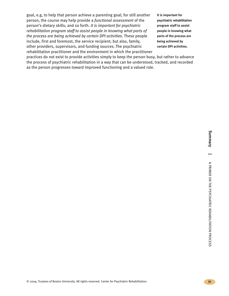goal, e.g, to help that person achieve a parenting goal; for still another person, the course may help provide a *functional assessment* of the person's dietary skills; and so forth. *It is important for psychiatric rehabilitation program staff to assist people in knowing what parts of the process are being achieved by certain DPI activities.* These people include, first and foremost, the service recipient; but also, family, other providers, supervisors, and funding sources. The psychiatric rehabilitation practitioner and the environment in which the practitioner **It is important for psychiatric rehabilitation program staff to assist people in knowing what parts of the process are being achieved by certain DPI activities.**

practices do not exist to provide activities simply to keep the person busy, but rather to advance the process of psychiatric rehabilitation in a way that can be understood, tracked, and recorded as the person progresses toward improved functioning and a valued role.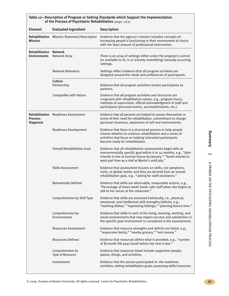|                                              | of the Process of Psychiatric Rehabilitation (page 1 of 2) | Table 12-Description of Program or Setting Standards which Support the Implementation                                                                                                                                                                  |
|----------------------------------------------|------------------------------------------------------------|--------------------------------------------------------------------------------------------------------------------------------------------------------------------------------------------------------------------------------------------------------|
| <b>Element</b>                               | <b>Evaluated Ingredient</b>                                | <b>Description</b>                                                                                                                                                                                                                                     |
| <b>Rehabilitation</b><br><b>Mission</b>      | <b>Mission Statement/Description</b>                       | Evidence that the agency's mission includes concepts of:<br>Increasing people's functioning in their environment of choice<br>with the least amount of professional intervention.                                                                      |
| <b>Rehabilitation</b><br><b>Environments</b> | Network<br><b>Network Array</b>                            | There is an array of settings either under the program's control<br>(or available to it), in or (closely resembling) naturally occurring<br>settings.                                                                                                  |
|                                              | <b>Network Relevance</b>                                   | Settings reflect evidence that all program activities are<br>designed around the needs and preferences of participants.                                                                                                                                |
|                                              | <b>Culture</b><br>Partnership                              | Evidence that all program activities involve participants as<br>partners.                                                                                                                                                                              |
|                                              | <b>Compatible with Values</b>                              | Evidence that all program activities and structures are<br>congruent with rehabilitation values, e.g., program hours;<br>methods of supervision; official acknowledgment of staff and<br>participants (personal events, accomplishments, etc.).        |
| <b>Process:</b><br><b>Diagnosis</b>          | <b>Rehabilitation</b> Readiness Assessment                 | Evidence that all persons are helped to assess themselves in<br>terms of their need for rehabilitation, commitment to change<br>personal closeness, awareness of self and environments.                                                                |
|                                              | <b>Readiness Development</b>                               | Evidence that there is a structured process to help people<br>choose whether to continue rehabilitation and a series of<br>activities that focus on helping interested participants<br>become ready for rehabilitation.                                |
|                                              | <b>Overall Rehabilitation Goal</b>                         | Evidence that all rehabilitation assessments begin with an<br>environmentally specific goal within 6 to 24 months, e.g., "John<br>intends to live at Sunrise House by January." "Sarah intends to<br>work part time as a chef at Martin's until July." |
|                                              | <b>Skills Assessment</b>                                   | Evidence that assessment focuses on skills; not symptoms,<br>traits, or global needs; and they are derived from an overall<br>rehabilitation goal, e.g., "asking for staff assistance."                                                                |
|                                              | <b>Behaviorally Defined</b>                                | Evidence that skills are observable, measurable actions, e.g.<br>"Percentage of times/week Sarah calls staff when she begins to<br>talk to her voices at the restaurant."                                                                              |
|                                              | Comprehensive by Skill Type                                | Evidence that skills are assessed holistically, i.e., physical,<br>emotional, and intellectual skill strengths/deficits, e.g.,<br>"washing dishes," "expressing feelings," "planning leisure time."                                                    |
|                                              | Comprehensive by<br>Environments                           | Evidence that skills in each of the living, learning, working, and<br>social environments that may impact success and satisfaction in<br>the specific goal environment is considered in the assessments.                                               |
|                                              | <b>Resources Assessment</b>                                | Evidence that resource strengths and deficits are listed, e.g.,<br>"responsive family," "nearby grocery," "rent money."                                                                                                                                |
|                                              | <b>Resources Defined</b>                                   | Evidence that resources define what is provided, e.g., "number<br>of \$/month SSI pays Sarah before her rent is due."                                                                                                                                  |
|                                              | Comprehensive by<br><b>Type of Resource</b>                | Evidence that resources listed include supportive people,<br>places, things, and activities.                                                                                                                                                           |
|                                              | Involvement                                                | Evidence that the person participated in: the readiness<br>activities; setting rehabilitation goals; assessing skills/resources.                                                                                                                       |

┐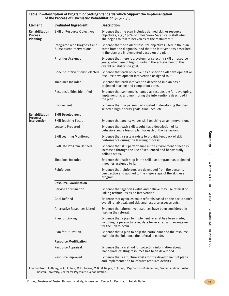|                                                      | of the Process of Psychiatric Rehabilitation (page 2 of 2)       | Table 12-Description of Program or Setting Standards which Support the Implementation                                                                                              |
|------------------------------------------------------|------------------------------------------------------------------|------------------------------------------------------------------------------------------------------------------------------------------------------------------------------------|
| <b>Element</b>                                       | <b>Evaluated Ingredient</b>                                      | <b>Description</b>                                                                                                                                                                 |
| <b>Rehabilitation</b><br>Process:<br><b>Planning</b> | <b>Skill or Resource Objectives</b>                              | Evidence that the plan includes defined skill or resource<br>objectives, e.g., "40% of times/week Sarah calls staff when<br>she begins to talk to her voices at the restaurant."   |
|                                                      | Integrated with Diagnosis and<br><b>Subsequent Interventions</b> | Evidence that the skill or resource objectives used in the plan<br>come from the diagnosis; and that the interventions described<br>in the plan are implemented based on the plan. |
|                                                      | <b>Priorities Assigned</b>                                       | Evidence that there is a system for selecting skill or resource<br>goals, which are of high priority in the achievement of the<br>overall rehabilitation goal.                     |
|                                                      |                                                                  | Specific Interventions Selected Evidence that each objective has a specific skill development or<br>resource development intervention assigned to it.                              |
|                                                      | <b>Timelines Included</b>                                        | Evidence that each intervention described in plan has a<br>projected starting and completion dates.                                                                                |
|                                                      | Responsibilities Identified                                      | Evidence that someone is named as responsible for developing,<br>implementing, and monitoring the interventions described in<br>the plan.                                          |
|                                                      | Involvement                                                      | Evidence that the person participated in developing the plan<br>selected high priority goals, timelines, etc.                                                                      |
| <b>Rehabilitation</b><br>Process:                    | <b>Skill Development</b>                                         |                                                                                                                                                                                    |
| <b>Intervention</b>                                  | <b>Skill Teaching Focus</b>                                      | Evidence that agency values skill teaching as an intervention.                                                                                                                     |
|                                                      | <b>Lessons Prepared</b>                                          | Evidence that each skill taught has a description of its<br>behaviors and a lesson plan for each of the behaviors.                                                                 |
|                                                      | <b>Skill Learning Monitored</b>                                  | Evidence that a system exists to provide feedback of skill<br>performance during the learning process.                                                                             |
|                                                      | Skill Use Program Defined                                        | Evidence that skill performance in the environment of need is<br>increased through the use of sequenced and behaviorally<br>defined steps.                                         |
|                                                      | <b>Timelines Included</b>                                        | Evidence that each step in the skill use program has projected<br>timelines assigned to it.                                                                                        |
|                                                      | Reinforcers                                                      | Evidence that reinforcers are developed from the person's<br>perspective and applied to the major steps of the skill use<br>program.                                               |
|                                                      | <b>Resource Coordination</b>                                     |                                                                                                                                                                                    |
|                                                      | <b>Service Coordination</b>                                      | Evidence that agencies value and believe they use referral or<br>linking techniques as an intervention.                                                                            |
|                                                      | <b>Goal Defined</b>                                              | Evidence that agencies make referrals based on the participant's<br>overall rehab goal, and skill and resource assessments.                                                        |
|                                                      | <b>Alternative Resources Listed</b>                              | Evidence that alternative resources have been considered in<br>making the referral.                                                                                                |
|                                                      | Plan for Linking                                                 | Evidence that a plan to implement referral has been made;<br>including: a person to refer, date for referral, and arrangement<br>for the link to occur.                            |
|                                                      | <b>Plan for Utilization</b>                                      | Evidence that a plan to help the participant and the resource<br>maintain the link, once the referral is made.                                                                     |
|                                                      | <b>Resource Modification</b>                                     |                                                                                                                                                                                    |
|                                                      | Resource Appraisal                                               | Evidence that a method for collecting information about<br>inadequate existing resources has been developed.                                                                       |
|                                                      | Resource Improved                                                | Evidence that a structure exists for the development of plans<br>and implementation to improve resource deficits.                                                                  |
|                                                      |                                                                  | C (2000) Doughiatric rababilitation Caso                                                                                                                                           |

Adapted from: Anthony, W.A., Cohen, M.R., Farkas, M.D., & Gagne, C. (2002). *Psychiatric rehabilitation, Second edition*. Boston: Boston University, Center for Psychiatric Rehabilitation.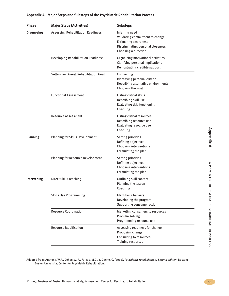| <b>Phase</b>      | <b>Major Steps (Activities)</b>            | <b>Substeps</b>                                                                                                                               |
|-------------------|--------------------------------------------|-----------------------------------------------------------------------------------------------------------------------------------------------|
| <b>Diagnosing</b> | <b>Assessing Rehabilitation Readiness</b>  | Inferring need<br>Validating commitment to change<br><b>Estimating awareness</b><br>Discriminating personal closeness<br>Choosing a direction |
|                   | <b>Developing Rehabilitation Readiness</b> | Organizing motivational activities<br>Clarifying personal implications<br>Demostrating credible support                                       |
|                   | Setting an Overall Rehabilitation Goal     | Connecting<br>Identifying personal criteria<br>Describing alternative environments<br>Choosing the goal                                       |
|                   | <b>Functional Assessment</b>               | Listing critical skills<br>Describing skill use<br>Evaluating skill functioning<br>Coaching                                                   |
|                   | <b>Resource Assessment</b>                 | Listing critical resources<br>Describing resource use<br>Evaluating resource use<br>Coaching                                                  |
| <b>Planning</b>   | <b>Planning for Skills Development</b>     | Setting priorities<br>Defining objectives<br><b>Choosing interventions</b><br>Formulating the plan                                            |
|                   | <b>Planning for Resource Development</b>   | Setting priorities<br>Defining objectives<br>Choosing interventions<br>Formulating the plan                                                   |
| Intervening       | <b>Direct Skills Teaching</b>              | Outlining skill content<br>Planning the lesson<br>Coaching                                                                                    |
|                   | <b>Skills Use Programming</b>              | <b>Identifying barriers</b><br>Developing the program<br>Supporting consumer action                                                           |
|                   | <b>Resource Coordination</b>               | Marketing consumers to resources<br>Problem solving<br>Programming resource use                                                               |
|                   | <b>Resource Modification</b>               | Assessing readiness for change<br>Proposing change<br>Consulting to resources<br><b>Training resources</b>                                    |

#### **Appendix A—Major Steps and Substeps of the Psychiatric Rehabilitation Process**

Adapted from: Anthony, W.A., Cohen, M.R., Farkas, M.D., & Gagne, C. (2002). *Psychiatric rehabilitation, Second edition.* Boston: Boston University, Center for Psychiatric Rehabilitation.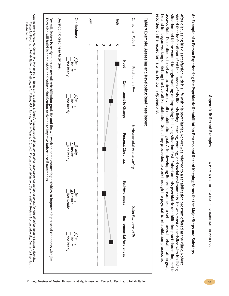

## **An Example of a Person Experiencing the Psychiatric Rehabilitation Process and Record Keeping Forms for the Major Steps and Substeps**

After discussing his dissatisfaction with his life with his psychiatrist, Robert was referred to a rehabilitation program offered <u>م</u> the clinic. Robert stated that a<br>h felt dissatisfied 三.  $\stackrel{\mathtt{a}}{=}$ areas <u>ር</u> his life—his living, learning, working, and social environments. He was most dissatisfied with his living situation and felt a<br>h wanted to begin working on improving his living situation first. Robert and his psychiatric rehabilitation practitioner, Jim, met to assess Robert's readiness to set and achieve م<br>د overall rehabilitation goal. After developing Robert's readiness to set م<br>د overall rehabilitation goal, a<br>h and Jim began working on Setting the Overall Rehabilitation Goal. They proceeded to work through the psychiatric rehabilitation process م<br>S recorded on the record forms which follow Ξ. Appendix B.



Center for

Rehabilitation.

Rehabilitation.

Psychiatric

Rehabilitation

and

Anthony,

W.A.,

Cohen,

M.R.,

Farkas,

M.D., & Gagne,

C. (2002).

*Psychiatric*

*rehabilitation,*

*Second*

*edition.*

Boston:

Boston

University,

Center for

Psychiatric

<sup>© 2009,</sup> Trustees of Boston University. All rights reserved. Center for Psychiatric Rehabilitation.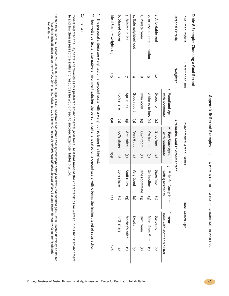| Practitioner: /im |                |                                                               |            |                                     |                                                                |                                                        |                                               |
|-------------------|----------------|---------------------------------------------------------------|------------|-------------------------------------|----------------------------------------------------------------|--------------------------------------------------------|-----------------------------------------------|
| Weights*          |                |                                                               |            |                                     |                                                                |                                                        |                                               |
|                   |                |                                                               |            | 3. Main                             |                                                                | <b>Current:</b>                                        |                                               |
|                   |                |                                                               |            |                                     |                                                                |                                                        |                                               |
| \$500/mo          | E              | \$500/mo                                                      | E          | 8400/<br>/mo                        | ତ୍ର                                                            | \$250/mo                                               | $\odot$                                       |
|                   |                | On busline                                                    | $\odot$    | On busline                          | $\odot$                                                        | <b>Rides from Mom</b>                                  | $\widehat{\Xi}$                               |
| Own room          | $\odot$        | Own room                                                      | $\odot$    |                                     |                                                                | Own room                                               | $\mathfrak{S}$                                |
| Good report       | $\circledcirc$ | <b>Very Good</b>                                              | E          | Very Good                           | E                                                              | Excellent                                              | ઉ                                             |
| Apt. rules        | $\odot$        | Apt. rules                                                    | $\odot$    | Staff rules                         | $\circledcirc$                                                 | Mother's rules                                         | $\widehat{\Xi}$                               |
| 50% share         | $\circledcirc$ | 50% share                                                     | $\odot$    | 20% share                           | $\odot$                                                        | 33% share                                              | E                                             |
|                   | 150            |                                                               | <b>959</b> |                                     | <b>LLL</b>                                                     |                                                        | 126                                           |
|                   |                | 1. Woodland Apts.<br>$2$ blocks to bus $(4)$<br>with roommate |            | 2. Bay State Apts.<br>with roommate | Alternative Goal Environments**<br>Environmental Arena: Living | One roommate (3)<br>with 5 residents<br>St. Group Home | Date: March 15th<br>Home with Mother & Sister |

**Appendix B: Record Examples |**

⋗

PRIMER

g 로<br>금

PSYCHIATRIC

REHABILITATION

PROCESS

## **Table 8 Example: Choosing a Goal Record**

### Comments: **Comments:**

Robert selected the Bay State Apartments as his preferred environmental goal because =: had most ቧ the characteristics  $\Xi$ wanted Ξ. his living environment. 공 and Jim then assessed the skills and resources he would need ಕ succeed (Example: Tables 9 & 10).

Adapted Rehabilitation. Rehabilitation. Psychiatric from: Cohen, Rehabilitation ×: Farkas, and M., Anthony, Cohen, B., & W.A., Unger, Cohen, K. M.R., (1991, Farkas, 2007). M.D., & Gagne, *Psychiatric rehabilitation* C. (2002). *Psychiatric training technology: rehabilitation, Setting Second an overall edition. rehabilitation* Boston: Boston *goal.* University, Boston: Boston Center University, for Psychiatric Center for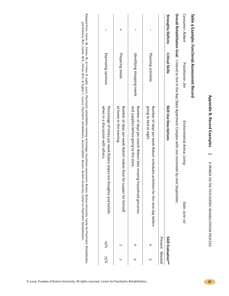| ı<br>j<br>reculu cxalliptes<br>1<br>j<br>ו<br>ו                                   |
|-----------------------------------------------------------------------------------|
|                                                                                   |
| )<br>J<br>スニMEス ON ニエE FUYCHIAI KIC スEHABILIIAII ON FKOCEUU<br>$\vdots$<br>;<br>! |
| I                                                                                 |
| J<br>١<br>1<br>`<br>ר                                                             |

# **Table 9 Example: Functional Assessment Record**

Consumer: *Robert*

Practitioner: *Jim*

Environmental

Arena:

*Living*

Date:

*June 1st*

|                    |                            | Overall Rehabilitation Goal: I intend to live in the Bay State Apartment Complex with one roommate by next September. |                       |        |
|--------------------|----------------------------|-----------------------------------------------------------------------------------------------------------------------|-----------------------|--------|
| Strengths/Deficits | <b>Critical Skills</b>     | Skill Use Descriptions                                                                                                | Skill Evaluation**    |        |
|                    |                            |                                                                                                                       | <b>Present Needed</b> |        |
| I                  | Planning activities        | going to bed at night.<br>Number of days per week Robert schedules act<br>ivites tor the next day before              |                       |        |
| I                  | Identifying shopping needs | and supplies before going to the store.<br>Number of days per month Robert lists missing housebold groceries          |                       | ₽      |
|                    | Preparing meals            | at home in the evening.<br>Number of days per week Robert makes food for supper for himself                           |                       |        |
| I                  | Expressing opinions        | Shen in a discussion sitth others.<br>Percentage of times per seek Robert states his<br>thoughts and beliefs          | 25%                   | $75\%$ |

Adapted from: Cohen, M., Farkas, M., & Cohen, B. (1986, 2007). *Psychiatric rehabilitation training technology: Functional assessment.* Boston: Boston University, Center for Psychiatric Rehabilitation and Anthony, W.A., Cohen, ¤.<br>א∙ Farkas, M.D., & Gagne, C. (2002). *Psychiatric rehabilitation, Second edition.* Boston: Boston University, Center for Psychiatric Rehabilitation.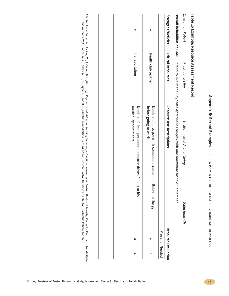| l<br>i<br>Endination<br>I<br>ı<br>i<br>י<br>ו<br>í                |
|-------------------------------------------------------------------|
|                                                                   |
|                                                                   |
| ı                                                                 |
|                                                                   |
| ı                                                                 |
|                                                                   |
| $\ddot{\phantom{0}}$<br>$\mathbf{I}$                              |
| ı                                                                 |
|                                                                   |
|                                                                   |
|                                                                   |
|                                                                   |
|                                                                   |
|                                                                   |
|                                                                   |
|                                                                   |
|                                                                   |
|                                                                   |
| j                                                                 |
|                                                                   |
| KIMEK ON INE FUTCINIXIC KEINDILINIION FKOCEUU<br>r<br>٦<br>)<br>) |

# **Table 10 Example: Resource Assessment Record**

| Consumer: Robert   | Practitioner: /im         | Environmental Arena: Living                                                                       | Date: June 5th        |                            |  |
|--------------------|---------------------------|---------------------------------------------------------------------------------------------------|-----------------------|----------------------------|--|
|                    |                           | Overall Refugion Goal: 1 interacto live in the Bay State Apartment Complex with one roommate by n | ext September.        |                            |  |
| Strengths/Deficits | <b>Critical Resources</b> | Resource Use Descriptions                                                                         |                       | <b>Resource Evaluation</b> |  |
|                    |                           |                                                                                                   |                       | <b>Present Needed</b>      |  |
| I                  | Health club partner       | before going to work.<br>Number of days per week someone accompani                                | ies Robert to the gym |                            |  |
|                    | Transportation            | medical appointments.<br>Mumber of times per month someone drives Robert to his                   |                       |                            |  |
|                    |                           |                                                                                                   |                       |                            |  |

Adapted from: Cohen, ×: Farkas, M., & Cohen, B. (1986, 2007). *Psychiatric rehabilitation training technology: Functional assessment.* Boston: Boston University, Center for Psychiatric Rehabilitation and Anthony, W.A., Cohen, ¤.<br>א∙ Farkas, M.D., & Gagne, C. (2002). *Psychiatric rehabilitation, Second edition.* Boston: Boston University, Center for Psychiatric Rehabilitation.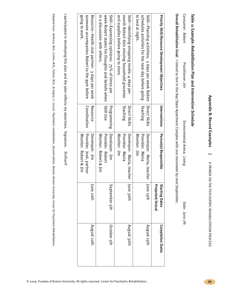# **Table 11 Example: Rehabilitation Plan and Intervention Schedule**

Consumer: *Robert* Practitioner: *Jim*

Environmental Arena: *Living*

> Date: *June 7th*

**Overall Rehabilitation Goal:** I intend to live Ξ. the Bay State Apartment Complex with one roommate হ next September.

| Priority Skill/Resource Development Objectives                                                                                  | Interventions                    | <b>Person(s) Responsible</b>                                       | Projected/Actual<br><b>Starting Dates</b> | <b>Completion Dates</b> |
|---------------------------------------------------------------------------------------------------------------------------------|----------------------------------|--------------------------------------------------------------------|-------------------------------------------|-------------------------|
| to bed at night.<br>schedules activities for the next day before going<br>Skill-Planning activities: 5 days per week Robert     | Teaching<br>Direct Skills        | Monitor: Jim<br>Provider: Maria<br>Developer: Maria, teacher       | June 15th                                 | August 15th             |
| and supplies before going to store.<br>monetal issing household groceries<br>Skill—Identifying shopping needs: 4 days per       | <b>Teaching</b><br>Direct Skills | Provider: Maria<br>Developer: Maria, teacher<br>Monitor: Jim       | June 30th                                 | August 3oth             |
| in a discussion with others.<br>week Robert states his thoughts and beliefs when<br>Skill—Expressing opinions: 75% of times per | Skill Use<br>Programming         | Developer: Jim<br><b>Provider: Robert</b><br>Monitor: Robert & Jim | September 5th                             | October 5th             |
| going to work.<br>someone accompanies Robert to the gym before<br>Resource-Health club partner: 3 days per week                 | Coordination<br>Resource         | Provider: José, partner<br>Monitor: Robert & Jim<br>Developer: Jim | June 10th                                 | August 10th             |

 $\overline{\phantom{a}}$ participated Ξ. developing this plan and the plan reflects my objectives. Signature: *Robert*

Adapted from: Anthony, W.A., Cohen, ¤.<br>א∙ Farkas, M.D., & Gagne, C. (2002). *Psychiatric rehabilitation, Second edition.* Boston: Boston University, Center for Psychiatric Rehabilitation.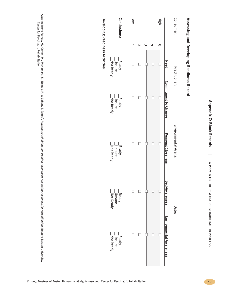# **Assessing and Developing Readiness Record**

| Consumer:     |             | Practitioner:                 |                      | Environmental Arena:             | Date:                        |                                 |
|---------------|-------------|-------------------------------|----------------------|----------------------------------|------------------------------|---------------------------------|
|               |             | <b>Need</b>                   | Commitment to Change | Personal Closeness               | Self-Awareness               | <b>Environmental Awareness</b>  |
| High          |             | ļ                             |                      |                                  |                              |                                 |
|               |             |                               |                      |                                  |                              |                                 |
|               |             |                               |                      |                                  |                              |                                 |
|               |             |                               |                      |                                  |                              |                                 |
| Low           |             |                               |                      |                                  |                              |                                 |
| Conclusions:  |             | _Not Ready<br>Unsure<br>Ready | Mot Ready            | Mot Ready<br>_beady_<br>__bnsure | Mot Ready<br>Unsure<br>Ready | Mot Ready<br>Unsure<br>$Re$ ady |
| $\frac{1}{2}$ | ;<br>;<br>; |                               |                      |                                  |                              |                                 |

**Developing Readiness Activities: Readiness Activities:**

Adapted from: Farkas, ≶<br>: Cohen, ≶<br>: McNamara, S., Nemec, P., & Cohen, B. (2000). *Psychiatric rehabilitation training technology. Assessing readiness for rehabilitation*. Boston: Boston University, Center for Psychiatric Rehabilitation.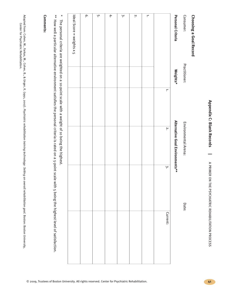| ていこうこう いっしょう<br>$\ddot{\phantom{a}}$                           |
|----------------------------------------------------------------|
|                                                                |
| $\frac{1}{2}$<br>i<br>J<br>J<br>;<br> <br> <br>=<br> <br> <br> |

| ۰ |
|---|
| Ï |
| ¢ |
| ച |
|   |
| נ |
|   |
|   |
|   |
|   |
|   |
|   |
|   |
| Ì |
| ſ |
|   |
|   |
|   |
|   |
|   |

| Consumer:                                                                                               | Practitioner: |    | Environmental Arena:            | Date: |          |
|---------------------------------------------------------------------------------------------------------|---------------|----|---------------------------------|-------|----------|
| Personal Criteria                                                                                       | Weights*      |    | Alternative Goal Environments** |       |          |
|                                                                                                         |               | H, | $\ddot{\phantom{0}}$            | ڛ     | Current: |
| H,                                                                                                      |               |    |                                 |       |          |
| $\ddot{\phantom{0}}$                                                                                    |               |    |                                 |       |          |
| ڛ                                                                                                       |               |    |                                 |       |          |
| ¢.                                                                                                      |               |    |                                 |       |          |
| ņ.                                                                                                      |               |    |                                 |       |          |
| Ŏ.                                                                                                      |               |    |                                 |       |          |
| Ideal Score = weights x 5                                                                               |               |    |                                 |       |          |
| $\ast$<br>The personal criteria are weighted on a 10-point scale with a weight of 10 peing the highest. |               |    |                                 |       |          |

The personal criteria are<br>B wie<br>Gin on a  $\overline{a}$ scale with a weight ቧ 10 being the

\*\* How well a particular alternative environment satisfies the personal criteria ភៈ rated on a 5-point scale with 5 being the highest level ቧ satisfaction.

### Comments: **Comments:**

Adapted from: Cohen, ≶<br>: Farkas, ≶<br>: Cohen, B., & Unger, K. (1991, 2007). *Psychiatric rehabilitation training technology: Setting an overall rehabilitation goal.* Boston: Boston University, Center for Psychiatric Rehabilitation.

PROCESS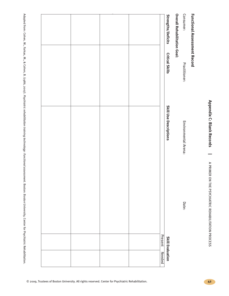| <b>Functional Assessment Record</b><br>Consumer: | Practitioner:          | Environmental Arena:   | Date:   |                         |
|--------------------------------------------------|------------------------|------------------------|---------|-------------------------|
| <b>Overall Rehabilitation Goal:</b>              |                        |                        |         |                         |
| Strengths/Deficits                               | <b>Critical Skills</b> | Skill Use Descriptions |         | <b>Skill Evaluation</b> |
|                                                  |                        |                        | Present | <b>Needed</b>           |
|                                                  |                        |                        |         |                         |
|                                                  |                        |                        |         |                         |
|                                                  |                        |                        |         |                         |
|                                                  |                        |                        |         |                         |
|                                                  |                        |                        |         |                         |
|                                                  |                        |                        |         |                         |
|                                                  |                        |                        |         |                         |
|                                                  |                        |                        |         |                         |
|                                                  |                        |                        |         |                         |

**Appendix**

**C:**

**Blank**

**Records**

**|**

⋗

PRIMER

g 로<br>금

PSYCHIATRIC

REHABILITATION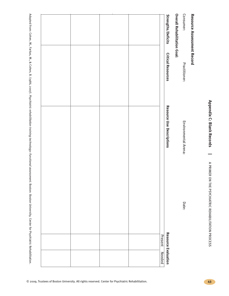| Strengths/Deficits | <b>Critical Resources</b> | Resource Use Descriptions | <b>Resource Evaluation</b> |
|--------------------|---------------------------|---------------------------|----------------------------|
|                    |                           |                           | Present                    |
|                    |                           |                           |                            |
|                    |                           |                           |                            |
|                    |                           |                           |                            |
|                    |                           |                           |                            |
|                    |                           |                           |                            |
|                    |                           |                           |                            |

**Appendix**

**C:**

**Blank**

**Records**

**|**

⋗

PRIMER

g 로<br>금

PSYCHIATRIC

REHABILITATION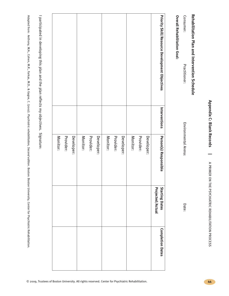# **Rehabilitation Plan and Intervention Schedule**

Consumer: Consumer:

Practitioner: Practitioner:

Environmental Environmental Arena:

Date:

**Overall Rehabilitation Goal:**

| Priority Skill/Resource Development Objectives | Interventions | Person(s) Responsible | Starting Dates<br>Projected/Actual | <b>Completion Dates</b> |
|------------------------------------------------|---------------|-----------------------|------------------------------------|-------------------------|
|                                                |               | Developer:            |                                    |                         |
|                                                |               | Provider:             |                                    |                         |
|                                                |               | Monitor:              |                                    |                         |
|                                                |               | Developer:            |                                    |                         |
|                                                |               | Provider:             |                                    |                         |
|                                                |               | Monitor:              |                                    |                         |
|                                                |               | Developer:            |                                    |                         |
|                                                |               | Provider:             |                                    |                         |
|                                                |               | Monitor:              |                                    |                         |
|                                                |               | Developer:            |                                    |                         |
|                                                |               | Provider:             |                                    |                         |
|                                                |               | Monitor:              |                                    |                         |
|                                                |               |                       |                                    |                         |

participated Ξ. developing this plan and the plan reflects my objectives. Signature:

Adapted from: Anthony, W.A., Cohen, M.R., Farkas, M.D., & Gagne, C. (2002). *Psychiatric rehabilitation, Second edition.* Boston: Boston University, Center for Psychiatric Rehabilitation.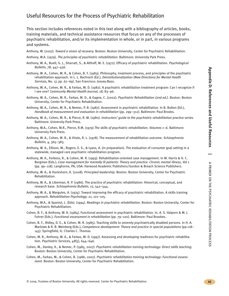⋗

PRIMER

g 로<br>금

PSYCHIATRIC

REHABILITATION

PROCESS

### Useful Resources for the Process of Psychiatric Rehabilitation

This section includes references noted in this text along with a bibliography of articles, books, training materials, and technical assistance resources that focus on any of the processes of psychiatric rehabilitation, and/or its implementation in whole, or in part, in various programs and systems.

- Anthony, W. (2007). *Toward a vision of recovery.* Boston: Boston University, Center for Psychiatric Rehabilitation.
- Anthony, W.A. (1979). *The principles of psychiatric rehabilitation.* Baltimore: University Park Press.
- Anthony, W. A., Buell, G. J., Sharratt, S., & Althoff, M. E. (1972). Efficacy of psychiatric rehabilitation. *Psychological Bulletin, 78,* 447–456.
- Anthony, W. A., Cohen, M. R., & Cohen, B. F. (1983). Philosophy, treatment process, and principles of the psychiatric rehabilitation approach. In L. L. Bachrach (Ed.), *Deinstitutionalization (New Directions for Mental Health Services,* No. 17, pp. 67–69). San Francisco: Jossey-Bass.
- Anthony, W. A., Cohen, M. R., & Farkas, M. D. (1982). A psychiatric rehabilitation treatment program: Can I recognize if I see one? *Community Mental Health Journal, 18,* 83–96.
- Anthony, W. A., Cohen, M. R., Farkas, M. D., & Gagne, C. (2002). *Psychiatric Rehabilitation (2nd ed.).* Boston: Boston University, Center for Psychiatric Rehabilitation.
- Anthony, W. A., Cohen, M. R., & Nemec, P. B. (1987). Assessment in psychiatric rehabilitation. In B. Bolton (Ed.), *Handbook of measurement and evaluation in rehabilitation* (pp. 299–312). Baltimore: Paul Brooks.
- Anthony, W. A., Cohen, M. R., & Pierce, R. M. (1980). *Instructors' guide to the psychiatric rehabilitation practice series.* Baltimore: University Park Press.
- Anthony, W.A., Cohen, M.R., Pierce, R.M. (1979) *The skills of psychiatric rehabilitation. Volumes 1–6.* Baltimore: University Park Press.
- Anthony, W. A., Cohen, M. R., & Vitalo, R. L. (1978). The measurement of rehabilitation outcome. *Schizophrenia Bulletin, 4,* 365–383.
- Anthony, W. A., Ellison, M., Rogers, E. S., & Lyass, A. (in preparation). The evaluation of consumer goal setting in a statewide, managed care psychiatric rehabilitation program.
- Anthony, W. A., Forbess, R., & Cohen, M. R. (1993). Rehabilitation-oriented case management. In M. Harris & H. C. Bergman (Eds.), *Case management for mentally ill patients: Theory and practice. Chronic mental illness, Vol 1* (pp. 99–118). Langhorne, PA, USA: Harwood Academic Publishers/Gordon & Breach Science Publishers.
- Anthony, W. A., & Huckshorn, K. (2008). *Principled leadership.* Boston: Boston University, Center for Psychiatric Rehabilitation.
- Anthony, W. A., & Liberman, R. P. (1986). The practice of psychiatric rehabilitation: Historical, conceptual, and research base. *Schizophrenia Bulletin, 12,* 542–544.
- Anthony, W. A., & Margules, A. (1974). Toward improving the efficacy of psychiatric rehabilitation. A skills training approach. *Rehabilitation Psychology, 21,* 101–105.
- Anthony, W.A., & Spaniol, L. (Eds). (1994). *Readings in psychiatric rehabilitation.* Boston: Boston University, Center for Psychiatric Rehabilitation.
- Cohen, B. F., & Anthony, W. A. (1984). Functional assessment in psychiatric rehabilitation. In. A. S. Halpern & M. J. Fuhrer (Eds.), *Functional assessment in rehabilitation* (pp. 79–100). Baltimore: Paul Brookes.
- Cohen, B. F., Ridley, D. E., & Cohen, M. R. (1985). Teaching skills to severely psychiatrically disabled persons. In H. A. Marlowe & R. B. Weinberg (Eds.), *Competence development: Theory and practice in special populations* (pp.118– 145). Springfield, IL: Charles C. Thomas.
- Cohen, M. R., Anthony, W. A., & Farkas, M. D. (1997). Assessing and developing readiness for psychiatric rehabilitation. *Psychiatric Services, 48*(5), 644–646.
- Cohen, M., Danley, K., & Nemec, P. (1985, 2007). *Psychiatric rehabilitation training technology: Direct skills teaching.* Boston: Boston University, Center for Psychiatric Rehabilitation.
- Cohen, M., Farkas, M., & Cohen, B. (1986, 2007). *Psychiatric rehabilitation training technology: Functional assessment.* Boston: Boston University, Center for Psychiatric Rehabilitation.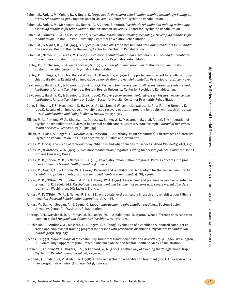⋗

PRIMER

g 로<br>금

PSYCHIATRIC

REHABILITATION

- Cohen, M., Farkas, M., Cohen, B., & Unger, K. (1991, 2007). *Psychiatric rehabilitation training technology: Setting an overall rehabilitation goal.* Boston: Boston University, Center for Psychiatric Rehabilitation.
- Cohen, M., Farkas, M., McNamara, S., Nemec, P., & Cohen, B. (2000). *Psychiatric rehabilitation training technology: Assessing readiness for rehabilitation.* Boston: Boston University, Center for Psychiatric Rehabilitation.
- Cohen, M., Forbess, R., & Farkas, M. (2000). *Psychiatric rehabilitation training technology: Developing readiness for rehabilitation.* Boston: Boston University, Center for Psychiatric Rehabilitation.
- Cohen, M., & Mynks, D. (Eds). (1993). *Compendium of activities for assessing and developing readiness for rehabilitation services.* Boston: Boston University, Center for Psychiatric Rehabilitation.
- Cohen, M., Nemec, P., & Farkas, M. (2000). *Psychiatric rehabilitation training technology: Connecting for rehabilitation readiness.* Boston: Boston University, Center for Psychiatric Rehabilitation.
- Danley, K., Hutchinson, D., & Restrepo-Toro, M. (1998). *Career planning curriculum: Instructor's guide.* Boston: Boston University, Center for Psychiatric Rehabilitation.
- Danley, K. S., Rogers, E. S., MacDonald Wilson, K., & Anthony, W. (1994). Supported employment for adults with psychiatric disability: Results of an innovative demonstration project. *Rehabilitation Psychology, 39*(4), 269–276.
- Davidson, L, Harding, C., & Spaniol, L. (Eds). (2005). *Recovery from severe mental illnesses: Research evidence and implications for practice, Volume 1.* Boston: Boston University, Center for Psychiatric Rehabilitation.
- Davidson, L, Harding, C., & Spaniol, L. (Eds). (2006). *Recovery from severe mental illnesses: Research evidence and implications for practice, Volume 2.* Boston: Boston University, Center for Psychiatric Rehabilitation.
- Dunn, E., Rogers, E.S., Hutchinson, D. H., Lyass, A., MacDonald Wilson, K.L., Wallace, L. R., & Furlong-Norman, K. (2008). Results of an innovative university-based recovery education program for adults with psychiatric disabilities. *Administration and Policy in Mental Health, 35*: 357–369.
- Ellison, M. L., Anthony, W. A., Sheets, J. L., Dodds, W., Barker, W. J., Massaro, J. M., et al. (2002). The integration of psychiatric rehabilitation services in behavioral health care structures: A state example. *Journal of Behavioral Health Services & Research, 29*(4), 381–393.
- Ellison, M., Lyass, A., Rogers, E., Wewiorski, N., Massaro, J., & Anthony, W. (in preparation). Effectiveness of Intensive Psychiatric Rehabilitation: Results of a statewide initiative and evaluation.
- Farkas, M. (2007). The vision of recovery today: What it is and what it means for services. *World Psychiatry, 6*(2), 1–7.
- Farkas, M., & Anthony, W. A. (1989) *Psychiatric rehabilitation programs: Putting theory into practice.* Baltimore: Johns Hopkins University Press.
- Farkas, M. D., Cohen, M. R., & Nemec, P. B. (1988). Psychiatric rehabilitation programs: Putting concepts into practice? *Community Mental Health Journal, 24*(1), 7–21.
- Farkas, M., Gagne, C., & Anthony, W. A. (2001). Recovery and rehabilitation: A paradigm for the new millennium. *La rehabilitacio psicosical integral a la communitat I amb la communitat, 1*(1/8), 13–16.
- Farkas, M. D., O'Brien, W. F., Cohen, M. R., & Anthony, W. A. (1994). Assessment and planning in psychiatric rehabilitation. In J. R. Bedell (Ed.). *Psychological assessment and treatment of persons with severe mental disorders* (pp. 3–30). Washington, DC: Taylor & Francis.
- Farkas, M. D, O'Brien, W. F., & Nemec, P. B. (1988). A graduate level curriculum in psychiatric rehabilitation: Filling a need. *Psychosocial Rehabilitation Journal, 12*(2), 53–66.
- Farkas, M., Sullivan Soydan, A., & Gagne, C. (2000). *Introduction to rehabilitation readiness.* Boston: Boston University, Center for Psychiatric Rehabilitation.
- Goering, P. N., Wasylenki, D. A., Farkas, M. D., Lancee, W. J., & Ballantyne, R. (1988). What difference does case management make? *Hospital and Community Psychiatry, 39,* 272–276.
- Hutchinson, D., Anthony, W., Massaro, J., & Rogers, E. S. (2007). Evaluation of a combined supported computer education and employment training program for persons with psychiatric disabilities. *Psychiatric Rehabilitation Journal, 30*(3), 189–197.
- Jacobs, J. (1997). *Major findings of the community support research demonstration projects (1989–1996).* Washington, DC: Community Support Program Branch, Substance Abuse and Mental Health Services Administration.
- Kramer, P., Anthony, W. A., Rogers, E. S., & Kennard, W. A. (2003). Another way of avoiding the "single model trap." *Psychiatric Rehabilitation Journal, 26,* 413–415.
- Lamberti, J. S., Melburg, V., & Madi, N. (1998). Intensive psychiatric rehabilitation treatment (IPRT): An overview of a new program. *Psychiatric Quarterly, 69*(3), 211–234.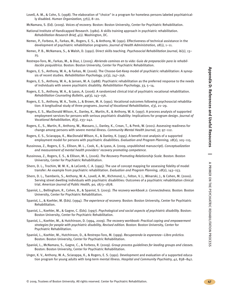⋗

PRIMER

g 로<br>금

PSYCHIATRIC

REHABILITATION

- Lovell, A. M., & Cohn, S. (1998). The elaboration of "choice" in a program for homeless persons labeled psychiatrically disabled. *Human Organization, 57*(1), 8–20.
- McNamara, S. (Ed). (2009). *Voices of recovery.* Boston: Boston University, Center for Psychiatric Rehabilitation.
- National Institute of Handicapped Research. (1980). A skills training approach in psychiatric rehabilitation. *Rehabilitation Research Brief, 4*(1). Washington, DC.
- Nemec, P., Forbess, R., Farkas, M., Rogers, E. S., & Anthony, W. (1991). Effectiveness of technical assistance in the development of psychiatric rehabilitation programs. *Journal of Health Administration, 18*(1), 1–11.
- Nemec, P. B., McNamara, S., & Walsh, D. (1992). Direct skills teaching. *Psychosocial Rehabilitation Journal, l6(1)*, 13– 25.
- Restrepo-Toro, M., Farkas, M., & Diaz, L (2005). *Abriendo caminos en tu vida: Guia de preparación para la rehabilitación psiquiátrica.* Boston: Boston University, Center for Psychiatric Rehabilitation.
- Rogers, E. S., Anthony, W. A., & Farkas, M. (2006). The Choose-Get-Keep model of psychiatric rehabilitation: A synopsis of recent studies. *Rehabilitation Psychology, 51*(3), 247–256.
- Rogers, E. S., Anthony, W. A., & Jansen, M. A. (1988). Psychiatric rehabilitation as the preferred response to the needs of individuals with severe psychiatric disability. *Rehabilitation Psychology, 33,* 5–14.
- Rogers, E. S., Anthony, W. A., & Lyass, A. (2006). A randomized clinical trial of psychiatric vocational rehabilitation. *Rehabilitation Counseling Bulletin, 49*(3), 143–156.
- Rogers, E. S., Anthony, W. A., Toole, J., & Brown, M. A. (1991). Vocational outcomes following psychosocial rehabilitation: A longitudinal study of three programs. *Journal of Vocational Rehabilitation, 1*(3), 21–29.
- Rogers, E. S., MacDonald Wilson, K., Danley, K., Martin, R., & Anthony, W. A. (1997). A process analysis of supported employment services for persons with serious psychiatric disability: Implications for program design. *Journal of Vocational Rehabilitation, 8*(3), 233–242.
- Rogers, E., S., Martin, R., Anthony, W., Massaro, J., Danley, K., Crean, T., & Penk, W. (2001). Assessing readiness for change among persons with severe mental illness. *Community Mental Health Journal, 37,* 97–112.
- Rogers, E. S., Sciarappa, K., MacDonald Wilson, K., & Danley, K. (1995). A benefit-cost analysis of a supported employment model for persons with psychiatric disabilities. *Evaluation and Program Planning, 18*(2), 105–115.
- Russinova, Z., Rogers, E. S., Ellison, M. L., Cook, K., & Lyass, A. (2009, unpublished manuscript). *Conceptualization and measurement of mental health providers' recovery promoting competence.*
- Russinova, Z., Rogers, E. S., & Ellison, M. L, (2006). *The Recovery Promoting Relationship Scale.* Boston: Boston University, Center for Psychiatric Rehabilitation.
- Shern, D. L., Trochim, W. M. K., & LaComb, C. A. (1995). The use of concept mapping for assessing fidelity of model transfer: An example from psychiatric rehabilitation. *Evaluation and Program Planning, 18*(2), 143–153.
- Shern, D. L., Tsemberis, S., Anthony, W. A., Lovell, A. M., Richmond, L., Felton, V. J., Winarski, J., & Cohen, M. (2000). Serving street dwelling individuals with psychiatric disabilities: Outcomes of a psychiatric rehabilitation clinical trial. *American Journal of Public Health, 90,* 1873–1878.
- Spaniol, L., Bellingham, R., Cohen, B., & Spaniol, S. (2003). *The recovery workbook 2: Connectedness.* Boston: Boston University, Center for Psychiatric Rehabilitation.
- Spaniol, L., & Koehler, M. (Eds). (1994). *The experience of recovery.* Boston: Boston University, Center for Psychiatric Rehabilitation.
- Spaniol, L., Koehler, M., & Gagne, C. (Eds). (1997). *Psychological and social aspects of psychiatric disability.* Boston: Boston University, Center for Psychiatric Rehabilitation.
- Spaniol, L., Koehler, M., & Hutchinson, D. (1994, 2009). *The recovery workbook: Practical coping and empowerment strategies for people with psychiatric disability, Revised edition.* Boston: Boston University, Center for Psychiatric Rehabilitation.
- Spaniol, L., Koehler, M., Hutchinson, D., & Restrepo-Toro, M. (1999). *Recuperando la esperanza—Libro práctico.* Boston: Boston University, Center for Psychiatric Rehabilitation.
- Spaniol, L., McNamara, S., Gagne, C., & Forbess, R. (2009). *Group process guidelines for leading groups and classes.* Boston: Boston University, Center for Psychiatric Rehabilitation.
- Unger, K. V., Anthony, W. A., Sciarappa, K., & Rogers, E. S. (1991). Development and evaluation of a supported education program for young adults with long-term mental illness. *Hospital and Community Psychiatry, 42,* 838–842.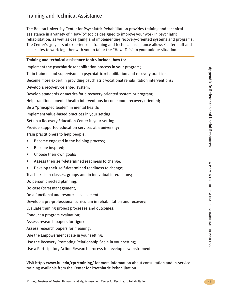## **A p p e n dix D: R efere nce s a n d U s eful R e s o urce s**

### Training and Technical Assistance

The Boston University Center for Psychiatric Rehabilitation provides training and technical assistance in a variety of "How-To" topics designed to improve your work in psychiatric rehabilitation, as well as designing and implementing recovery-oriented systems and programs. The Center's 30 years of experience in training and technical assistance allows Center staff and associates to work together with you to tailor the "How–To's" to your unique situation.

#### **Training and technical assistance topics include, how to:**

Implement the psychiatric rehabilitation process in your program; Train trainers and supervisors in psychiatric rehabilitation and recovery practices; Become more expert in providing psychiatric vocational rehabilitation interventions; Develop a recovery-oriented system; Develop standards or metrics for a recovery-oriented system or program; Help traditional mental health interventions become more recovery oriented; Be a "principled leader" in mental health; Implement value-based practices in your setting; Set up a Recovery Education Center in your setting; Provide supported education services at a university; Train practitioners to help people: • Become engaged in the helping process; • Become inspired; • Choose their own goals; • Assess their self-determined readiness to change;

• Develop their self-determined readiness to change;

Teach skills in classes, groups and in individual interactions;

Do person directed planning;

Do case (care) management;

Do a functional and resource assessment;

Develop a pre-professional curriculum in rehabilitation and recovery;

Evaluate training project processes and outcomes;

Conduct a program evaluation;

Assess research papers for rigor;

Assess research papers for meaning;

Use the Empowerment scale in your setting;

Use the Recovery Promoting Relationship Scale in your setting;

Use a Participatory Action Research process to develop new instruments.

Visit **http://www.bu.edu/cpr/training/** for more information about consultation and in-service training available from the Center for Psychiatric Rehabilitation.